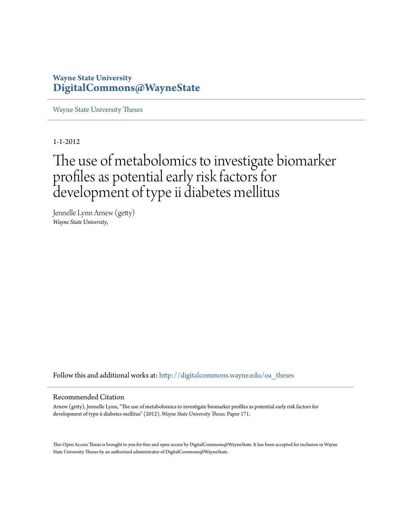# **Wayne State University [DigitalCommons@WayneState](http://digitalcommons.wayne.edu?utm_source=digitalcommons.wayne.edu%2Foa_theses%2F171&utm_medium=PDF&utm_campaign=PDFCoverPages)**

[Wayne State University Theses](http://digitalcommons.wayne.edu/oa_theses?utm_source=digitalcommons.wayne.edu%2Foa_theses%2F171&utm_medium=PDF&utm_campaign=PDFCoverPages)

1-1-2012

# The use of metabolomics to investigate biomarker profiles as potential early risk factors for development of type ii diabetes mellitus

Jennelle Lynn Arnew (getty) *Wayne State University*,

Follow this and additional works at: [http://digitalcommons.wayne.edu/oa\\_theses](http://digitalcommons.wayne.edu/oa_theses?utm_source=digitalcommons.wayne.edu%2Foa_theses%2F171&utm_medium=PDF&utm_campaign=PDFCoverPages)

#### Recommended Citation

Arnew (getty), Jennelle Lynn, "The use of metabolomics to investigate biomarker profiles as potential early risk factors for development of type ii diabetes mellitus" (2012). *Wayne State University Theses.* Paper 171.

This Open Access Thesis is brought to you for free and open access by DigitalCommons@WayneState. It has been accepted for inclusion in Wayne State University Theses by an authorized administrator of DigitalCommons@WayneState.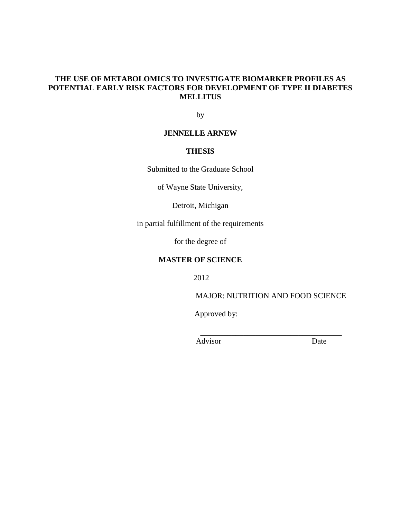## **THE USE OF METABOLOMICS TO INVESTIGATE BIOMARKER PROFILES AS POTENTIAL EARLY RISK FACTORS FOR DEVELOPMENT OF TYPE II DIABETES MELLITUS**

by

## **JENNELLE ARNEW**

## **THESIS**

Submitted to the Graduate School

of Wayne State University,

Detroit, Michigan

in partial fulfillment of the requirements

for the degree of

# **MASTER OF SCIENCE**

2012

MAJOR: NUTRITION AND FOOD SCIENCE

\_\_\_\_\_\_\_\_\_\_\_\_\_\_\_\_\_\_\_\_\_\_\_\_\_\_\_\_\_\_\_\_\_\_\_\_

Approved by:

Advisor Date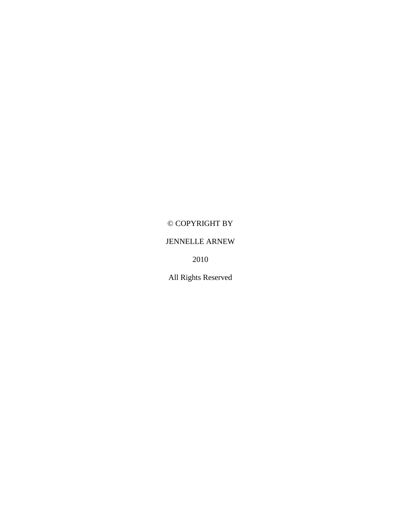# © COPYRIGHT BY

# JENNELLE ARNEW

2010

All Rights Reserved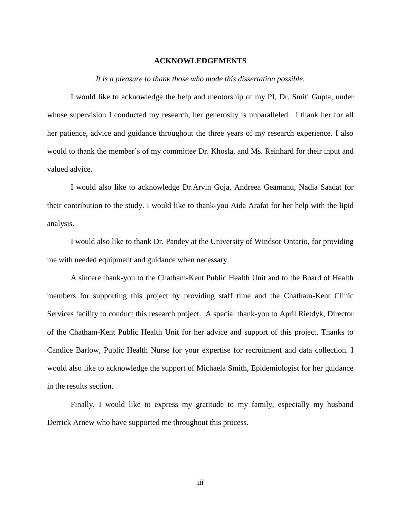#### **ACKNOWLEDGEMENTS**

*It is a pleasure to thank those who made this dissertation possible.*

I would like to acknowledge the help and mentorship of my PI, Dr. Smiti Gupta, under whose supervision I conducted my research, her generosity is unparalleled. I thank her for all her patience, advice and guidance throughout the three years of my research experience. I also would to thank the member's of my committee Dr. Khosla, and Ms. Reinhard for their input and valued advice.

I would also like to acknowledge Dr.Arvin Goja, Andreea Geamanu, Nadia Saadat for their contribution to the study. I would like to thank-you Aida Arafat for her help with the lipid analysis.

I would also like to thank Dr. Pandey at the University of Windsor Ontario, for providing me with needed equipment and guidance when necessary.

A sincere thank-you to the Chatham-Kent Public Health Unit and to the Board of Health members for supporting this project by providing staff time and the Chatham-Kent Clinic Services facility to conduct this research project. A special thank-you to April Rietdyk, Director of the Chatham-Kent Public Health Unit for her advice and support of this project. Thanks to Candice Barlow, Public Health Nurse for your expertise for recruitment and data collection. I would also like to acknowledge the support of Michaela Smith, Epidemiologist for her guidance in the results section.

Finally, I would like to express my gratitude to my family, especially my husband Derrick Arnew who have supported me throughout this process.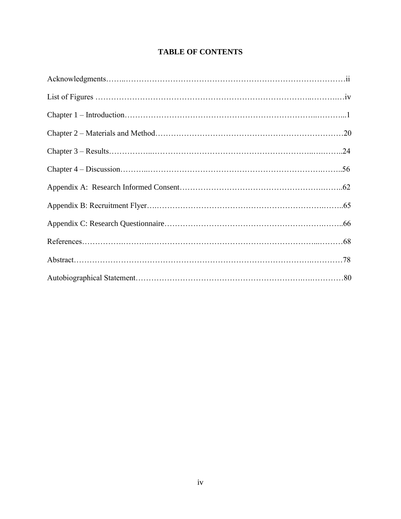# **TABLE OF CONTENTS**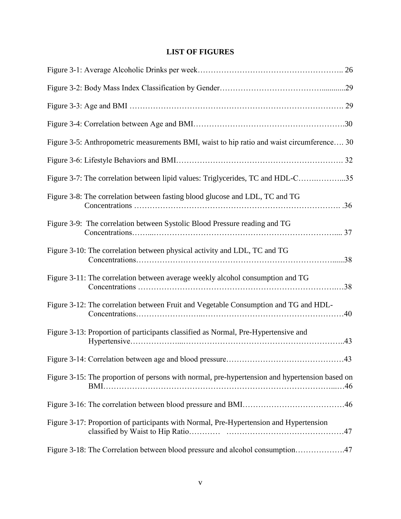# **LIST OF FIGURES**

| Figure 3-5: Anthropometric measurements BMI, waist to hip ratio and waist circumference 30     |  |
|------------------------------------------------------------------------------------------------|--|
|                                                                                                |  |
| Figure 3-7: The correlation between lipid values: Triglycerides, TC and HDL-C35                |  |
| Figure 3-8: The correlation between fasting blood glucose and LDL, TC and TG                   |  |
| Figure 3-9: The correlation between Systolic Blood Pressure reading and TG                     |  |
| Figure 3-10: The correlation between physical activity and LDL, TC and TG                      |  |
| Figure 3-11: The correlation between average weekly alcohol consumption and TG                 |  |
| Figure 3-12: The correlation between Fruit and Vegetable Consumption and TG and HDL-           |  |
| Figure 3-13: Proportion of participants classified as Normal, Pre-Hypertensive and             |  |
|                                                                                                |  |
| Figure 3-15: The proportion of persons with normal, pre-hypertension and hypertension based on |  |
|                                                                                                |  |
| Figure 3-17: Proportion of participants with Normal, Pre-Hypertension and Hypertension         |  |
| Figure 3-18: The Correlation between blood pressure and alcohol consumption47                  |  |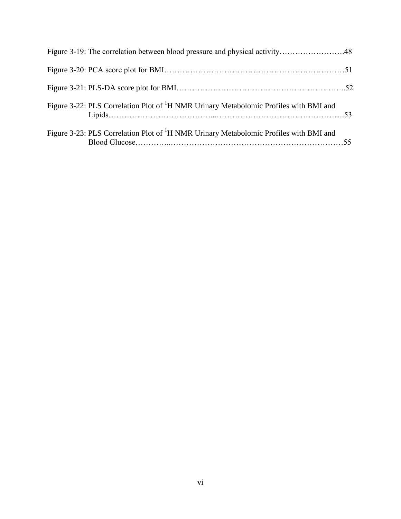| Figure 3-19: The correlation between blood pressure and physical activity48                       |  |
|---------------------------------------------------------------------------------------------------|--|
|                                                                                                   |  |
|                                                                                                   |  |
| Figure 3-22: PLS Correlation Plot of <sup>1</sup> H NMR Urinary Metabolomic Profiles with BMI and |  |
| Figure 3-23: PLS Correlation Plot of <sup>1</sup> H NMR Urinary Metabolomic Profiles with BMI and |  |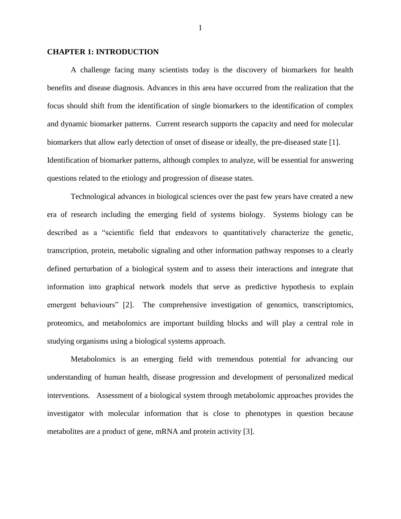#### **CHAPTER 1: INTRODUCTION**

A challenge facing many scientists today is the discovery of biomarkers for health benefits and disease diagnosis. Advances in this area have occurred from the realization that the focus should shift from the identification of single biomarkers to the identification of complex and dynamic biomarker patterns. Current research supports the capacity and need for molecular biomarkers that allow early detection of onset of disease or ideally, the pre-diseased state [1]. Identification of biomarker patterns, although complex to analyze, will be essential for answering questions related to the etiology and progression of disease states.

Technological advances in biological sciences over the past few years have created a new era of research including the emerging field of systems biology. Systems biology can be described as a "scientific field that endeavors to quantitatively characterize the genetic, transcription, protein, metabolic signaling and other information pathway responses to a clearly defined perturbation of a biological system and to assess their interactions and integrate that information into graphical network models that serve as predictive hypothesis to explain emergent behaviours" [2]. The comprehensive investigation of genomics, transcriptomics, proteomics, and metabolomics are important building blocks and will play a central role in studying organisms using a biological systems approach.

Metabolomics is an emerging field with tremendous potential for advancing our understanding of human health, disease progression and development of personalized medical interventions. Assessment of a biological system through metabolomic approaches provides the investigator with molecular information that is close to phenotypes in question because metabolites are a product of gene, mRNA and protein activity [3].

1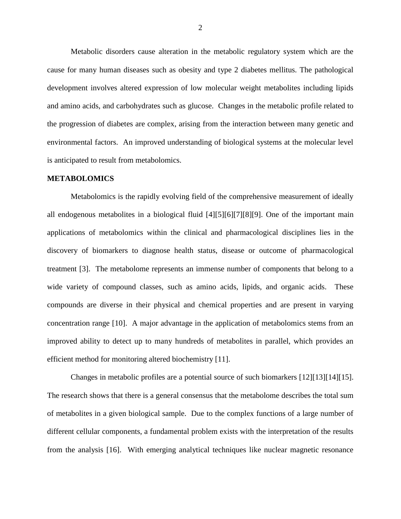Metabolic disorders cause alteration in the metabolic regulatory system which are the cause for many human diseases such as obesity and type 2 diabetes mellitus. The pathological development involves altered expression of low molecular weight metabolites including lipids and amino acids, and carbohydrates such as glucose. Changes in the metabolic profile related to the progression of diabetes are complex, arising from the interaction between many genetic and environmental factors. An improved understanding of biological systems at the molecular level is anticipated to result from metabolomics.

#### **METABOLOMICS**

Metabolomics is the rapidly evolving field of the comprehensive measurement of ideally all endogenous metabolites in a biological fluid [4][5][6][7][8][9]. One of the important main applications of metabolomics within the clinical and pharmacological disciplines lies in the discovery of biomarkers to diagnose health status, disease or outcome of pharmacological treatment [3]. The metabolome represents an immense number of components that belong to a wide variety of compound classes, such as amino acids, lipids, and organic acids. These compounds are diverse in their physical and chemical properties and are present in varying concentration range [10]. A major advantage in the application of metabolomics stems from an improved ability to detect up to many hundreds of metabolites in parallel, which provides an efficient method for monitoring altered biochemistry [11].

Changes in metabolic profiles are a potential source of such biomarkers [12][13][14][15]. The research shows that there is a general consensus that the metabolome describes the total sum of metabolites in a given biological sample. Due to the complex functions of a large number of different cellular components, a fundamental problem exists with the interpretation of the results from the analysis [16]. With emerging analytical techniques like nuclear magnetic resonance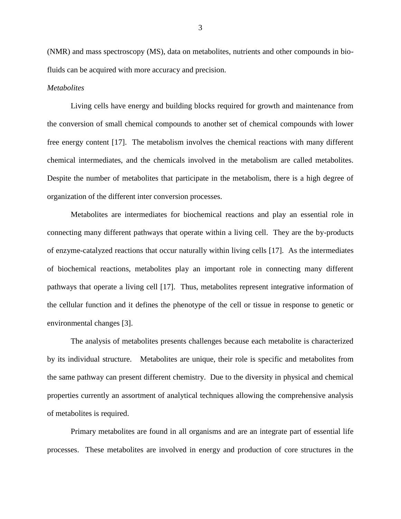(NMR) and mass spectroscopy (MS), data on metabolites, nutrients and other compounds in biofluids can be acquired with more accuracy and precision.

#### *Metabolites*

Living cells have energy and building blocks required for growth and maintenance from the conversion of small chemical compounds to another set of chemical compounds with lower free energy content [17]. The metabolism involves the chemical reactions with many different chemical intermediates, and the chemicals involved in the metabolism are called metabolites. Despite the number of metabolites that participate in the metabolism, there is a high degree of organization of the different inter conversion processes.

Metabolites are intermediates for biochemical reactions and play an essential role in connecting many different pathways that operate within a living cell. They are the by-products of enzyme-catalyzed reactions that occur naturally within living cells [17]. As the intermediates of biochemical reactions, metabolites play an important role in connecting many different pathways that operate a living cell [17]. Thus, metabolites represent integrative information of the cellular function and it defines the phenotype of the cell or tissue in response to genetic or environmental changes [3].

The analysis of metabolites presents challenges because each metabolite is characterized by its individual structure.Metabolites are unique, their role is specific and metabolites from the same pathway can present different chemistry. Due to the diversity in physical and chemical properties currently an assortment of analytical techniques allowing the comprehensive analysis of metabolites is required.

Primary metabolites are found in all organisms and are an integrate part of essential life processes. These metabolites are involved in energy and production of core structures in the

3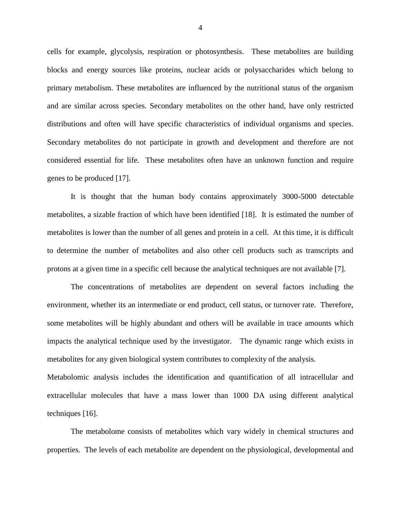cells for example, glycolysis, respiration or photosynthesis. These metabolites are building blocks and energy sources like proteins, nuclear acids or polysaccharides which belong to primary metabolism. These metabolites are influenced by the nutritional status of the organism and are similar across species. Secondary metabolites on the other hand, have only restricted distributions and often will have specific characteristics of individual organisms and species. Secondary metabolites do not participate in growth and development and therefore are not considered essential for life. These metabolites often have an unknown function and require genes to be produced [17].

It is thought that the human body contains approximately 3000-5000 detectable metabolites, a sizable fraction of which have been identified [18]. It is estimated the number of metabolites is lower than the number of all genes and protein in a cell. At this time, it is difficult to determine the number of metabolites and also other cell products such as transcripts and protons at a given time in a specific cell because the analytical techniques are not available [7].

The concentrations of metabolites are dependent on several factors including the environment, whether its an intermediate or end product, cell status, or turnover rate. Therefore, some metabolites will be highly abundant and others will be available in trace amounts which impacts the analytical technique used by the investigator. The dynamic range which exists in metabolites for any given biological system contributes to complexity of the analysis.

Metabolomic analysis includes the identification and quantification of all intracellular and extracellular molecules that have a mass lower than 1000 DA using different analytical techniques [16].

The metabolome consists of metabolites which vary widely in chemical structures and properties. The levels of each metabolite are dependent on the physiological, developmental and

4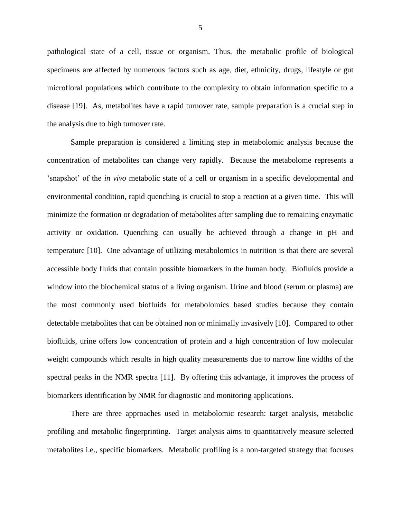pathological state of a cell, tissue or organism. Thus, the metabolic profile of biological specimens are affected by numerous factors such as age, diet, ethnicity, drugs, lifestyle or gut microfloral populations which contribute to the complexity to obtain information specific to a disease [19]. As, metabolites have a rapid turnover rate, sample preparation is a crucial step in the analysis due to high turnover rate.

Sample preparation is considered a limiting step in metabolomic analysis because the concentration of metabolites can change very rapidly. Because the metabolome represents a 'snapshot' of the *in vivo* metabolic state of a cell or organism in a specific developmental and environmental condition, rapid quenching is crucial to stop a reaction at a given time. This will minimize the formation or degradation of metabolites after sampling due to remaining enzymatic activity or oxidation. Quenching can usually be achieved through a change in pH and temperature [10]. One advantage of utilizing metabolomics in nutrition is that there are several accessible body fluids that contain possible biomarkers in the human body. Biofluids provide a window into the biochemical status of a living organism. Urine and blood (serum or plasma) are the most commonly used biofluids for metabolomics based studies because they contain detectable metabolites that can be obtained non or minimally invasively [10]. Compared to other biofluids, urine offers low concentration of protein and a high concentration of low molecular weight compounds which results in high quality measurements due to narrow line widths of the spectral peaks in the NMR spectra [11]. By offering this advantage, it improves the process of biomarkers identification by NMR for diagnostic and monitoring applications.

There are three approaches used in metabolomic research: target analysis, metabolic profiling and metabolic fingerprinting. Target analysis aims to quantitatively measure selected metabolites i.e., specific biomarkers. Metabolic profiling is a non-targeted strategy that focuses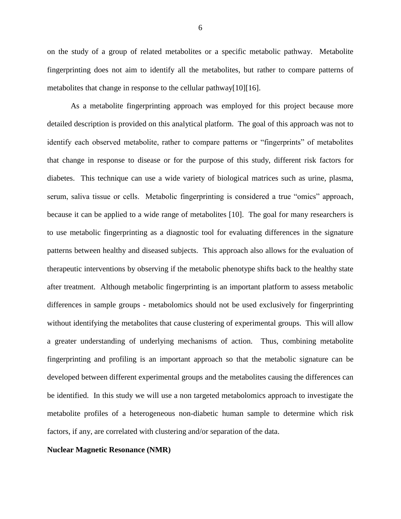on the study of a group of related metabolites or a specific metabolic pathway. Metabolite fingerprinting does not aim to identify all the metabolites, but rather to compare patterns of metabolites that change in response to the cellular pathway[10][16].

As a metabolite fingerprinting approach was employed for this project because more detailed description is provided on this analytical platform. The goal of this approach was not to identify each observed metabolite, rather to compare patterns or "fingerprints" of metabolites that change in response to disease or for the purpose of this study, different risk factors for diabetes. This technique can use a wide variety of biological matrices such as urine, plasma, serum, saliva tissue or cells. Metabolic fingerprinting is considered a true "omics" approach, because it can be applied to a wide range of metabolites [10]. The goal for many researchers is to use metabolic fingerprinting as a diagnostic tool for evaluating differences in the signature patterns between healthy and diseased subjects. This approach also allows for the evaluation of therapeutic interventions by observing if the metabolic phenotype shifts back to the healthy state after treatment. Although metabolic fingerprinting is an important platform to assess metabolic differences in sample groups - metabolomics should not be used exclusively for fingerprinting without identifying the metabolites that cause clustering of experimental groups. This will allow a greater understanding of underlying mechanisms of action. Thus, combining metabolite fingerprinting and profiling is an important approach so that the metabolic signature can be developed between different experimental groups and the metabolites causing the differences can be identified. In this study we will use a non targeted metabolomics approach to investigate the metabolite profiles of a heterogeneous non-diabetic human sample to determine which risk factors, if any, are correlated with clustering and/or separation of the data.

#### **Nuclear Magnetic Resonance (NMR)**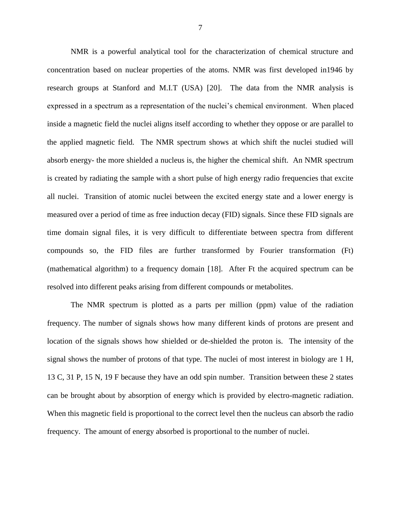NMR is a powerful analytical tool for the characterization of chemical structure and concentration based on nuclear properties of the atoms. NMR was first developed in1946 by research groups at Stanford and M.I.T (USA) [20]. The data from the NMR analysis is expressed in a spectrum as a representation of the nuclei's chemical environment. When placed inside a magnetic field the nuclei aligns itself according to whether they oppose or are parallel to the applied magnetic field. The NMR spectrum shows at which shift the nuclei studied will absorb energy- the more shielded a nucleus is, the higher the chemical shift. An NMR spectrum is created by radiating the sample with a short pulse of high energy radio frequencies that excite all nuclei. Transition of atomic nuclei between the excited energy state and a lower energy is measured over a period of time as free induction decay (FID) signals. Since these FID signals are time domain signal files, it is very difficult to differentiate between spectra from different compounds so, the FID files are further transformed by Fourier transformation (Ft) (mathematical algorithm) to a frequency domain [18]. After Ft the acquired spectrum can be resolved into different peaks arising from different compounds or metabolites.

The NMR spectrum is plotted as a parts per million (ppm) value of the radiation frequency. The number of signals shows how many different kinds of protons are present and location of the signals shows how shielded or de-shielded the proton is. The intensity of the signal shows the number of protons of that type. The nuclei of most interest in biology are 1 H, 13 C, 31 P, 15 N, 19 F because they have an odd spin number. Transition between these 2 states can be brought about by absorption of energy which is provided by electro-magnetic radiation. When this magnetic field is proportional to the correct level then the nucleus can absorb the radio frequency. The amount of energy absorbed is proportional to the number of nuclei.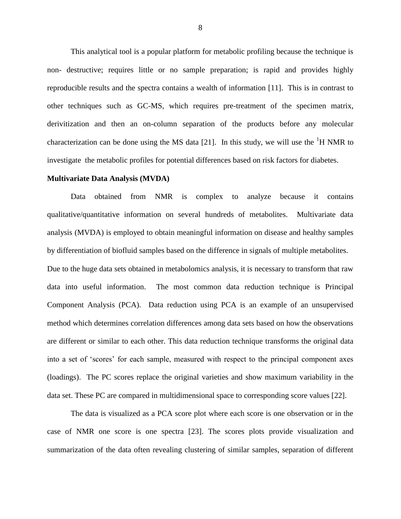This analytical tool is a popular platform for metabolic profiling because the technique is non- destructive; requires little or no sample preparation; is rapid and provides highly reproducible results and the spectra contains a wealth of information [11]. This is in contrast to other techniques such as GC-MS, which requires pre-treatment of the specimen matrix, derivitization and then an on-column separation of the products before any molecular characterization can be done using the MS data [21]. In this study, we will use the  ${}^{1}H$  NMR to investigate the metabolic profiles for potential differences based on risk factors for diabetes.

#### **Multivariate Data Analysis (MVDA)**

Data obtained from NMR is complex to analyze because it contains qualitative/quantitative information on several hundreds of metabolites. Multivariate data analysis (MVDA) is employed to obtain meaningful information on disease and healthy samples by differentiation of biofluid samples based on the difference in signals of multiple metabolites. Due to the huge data sets obtained in metabolomics analysis, it is necessary to transform that raw data into useful information. The most common data reduction technique is Principal Component Analysis (PCA). Data reduction using PCA is an example of an unsupervised method which determines correlation differences among data sets based on how the observations are different or similar to each other. This data reduction technique transforms the original data into a set of 'scores' for each sample, measured with respect to the principal component axes (loadings). The PC scores replace the original varieties and show maximum variability in the data set. These PC are compared in multidimensional space to corresponding score values [22].

The data is visualized as a PCA score plot where each score is one observation or in the case of NMR one score is one spectra [23]. The scores plots provide visualization and summarization of the data often revealing clustering of similar samples, separation of different

8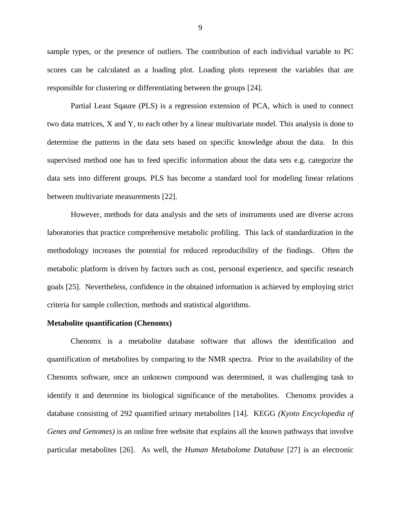sample types, or the presence of outliers. The contribution of each individual variable to PC scores can be calculated as a loading plot. Loading plots represent the variables that are responsible for clustering or differentiating between the groups [24].

Partial Least Sqaure (PLS) is a regression extension of PCA, which is used to connect two data matrices, X and Y, to each other by a linear multivariate model. This analysis is done to determine the patterns in the data sets based on specific knowledge about the data. In this supervised method one has to feed specific information about the data sets e.g. categorize the data sets into different groups. PLS has become a standard tool for modeling linear relations between multivariate measurements [22].

However, methods for data analysis and the sets of instruments used are diverse across laboratories that practice comprehensive metabolic profiling. This lack of standardization in the methodology increases the potential for reduced reproducibility of the findings. Often the metabolic platform is driven by factors such as cost, personal experience, and specific research goals [25]. Nevertheless, confidence in the obtained information is achieved by employing strict criteria for sample collection, methods and statistical algorithms.

#### **Metabolite quantification (Chenomx)**

Chenomx is a metabolite database software that allows the identification and quantification of metabolites by comparing to the NMR spectra. Prior to the availability of the Chenomx software, once an unknown compound was determined, it was challenging task to identify it and determine its biological significance of the metabolites. Chenomx provides a database consisting of 292 quantified urinary metabolites [14]. KEGG *(Kyoto Encyclopedia of Genes and Genomes)* is an online free website that explains all the known pathways that involve particular metabolites [26]. As well, the *Human Metabolome Database* [27] is an electronic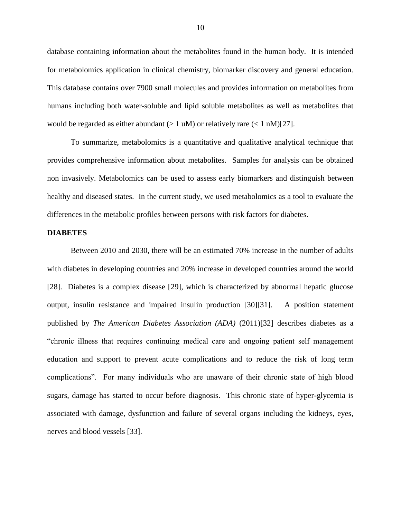database containing information about the metabolites found in the human body. It is intended for metabolomics application in clinical chemistry, biomarker discovery and general education. This database contains over 7900 small molecules and provides information on metabolites from humans including both water-soluble and lipid soluble metabolites as well as metabolites that would be regarded as either abundant  $(> 1 \text{ uM})$  or relatively rare  $(< 1 \text{ nM})[27]$ .

To summarize, metabolomics is a quantitative and qualitative analytical technique that provides comprehensive information about metabolites. Samples for analysis can be obtained non invasively. Metabolomics can be used to assess early biomarkers and distinguish between healthy and diseased states. In the current study, we used metabolomics as a tool to evaluate the differences in the metabolic profiles between persons with risk factors for diabetes.

#### **DIABETES**

Between 2010 and 2030, there will be an estimated 70% increase in the number of adults with diabetes in developing countries and 20% increase in developed countries around the world [28]. Diabetes is a complex disease [29], which is characterized by abnormal hepatic glucose output, insulin resistance and impaired insulin production [30][31]. A position statement published by *The American Diabetes Association (ADA)* (2011)[32] describes diabetes as a "chronic illness that requires continuing medical care and ongoing patient self management education and support to prevent acute complications and to reduce the risk of long term complications". For many individuals who are unaware of their chronic state of high blood sugars, damage has started to occur before diagnosis. This chronic state of hyper-glycemia is associated with damage, dysfunction and failure of several organs including the kidneys, eyes, nerves and blood vessels [33].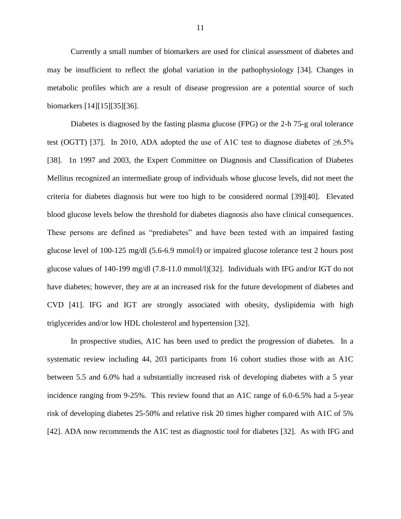Currently a small number of biomarkers are used for clinical assessment of diabetes and may be insufficient to reflect the global variation in the pathophysiology [34]. Changes in metabolic profiles which are a result of disease progression are a potential source of such biomarkers [14][15][35][36].

Diabetes is diagnosed by the fasting plasma glucose (FPG) or the 2-h 75-g oral tolerance test (OGTT) [37]. In 2010, ADA adopted the use of A1C test to diagnose diabetes of  $\geq 6.5\%$ [38]. 1n 1997 and 2003, the Expert Committee on Diagnosis and Classification of Diabetes Mellitus recognized an intermediate group of individuals whose glucose levels, did not meet the criteria for diabetes diagnosis but were too high to be considered normal [39][40]. Elevated blood glucose levels below the threshold for diabetes diagnosis also have clinical consequences. These persons are defined as "prediabetes" and have been tested with an impaired fasting glucose level of 100-125 mg/dl (5.6-6.9 mmol/l) or impaired glucose tolerance test 2 hours post glucose values of 140-199 mg/dl (7.8-11.0 mmol/l)[32]. Individuals with IFG and/or IGT do not have diabetes; however, they are at an increased risk for the future development of diabetes and CVD [41]. IFG and IGT are strongly associated with obesity, dyslipidemia with high triglycerides and/or low HDL cholesterol and hypertension [32].

In prospective studies, A1C has been used to predict the progression of diabetes. In a systematic review including 44, 203 participants from 16 cohort studies those with an A1C between 5.5 and 6.0% had a substantially increased risk of developing diabetes with a 5 year incidence ranging from 9-25%. This review found that an A1C range of 6.0-6.5% had a 5-year risk of developing diabetes 25-50% and relative risk 20 times higher compared with A1C of 5% [42]. ADA now recommends the A1C test as diagnostic tool for diabetes [32]. As with IFG and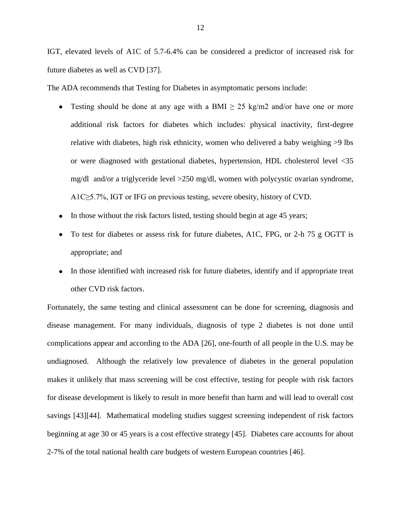IGT, elevated levels of A1C of 5.7-6.4% can be considered a predictor of increased risk for future diabetes as well as CVD [37].

The ADA recommends that Testing for Diabetes in asymptomatic persons include:

- Testing should be done at any age with a BMI  $\geq$  25 kg/m2 and/or have one or more additional risk factors for diabetes which includes: physical inactivity, first-degree relative with diabetes, high risk ethnicity, women who delivered a baby weighing >9 lbs or were diagnosed with gestational diabetes, hypertension, HDL cholesterol level <35 mg/dl and/or a triglyceride level >250 mg/dl, women with polycystic ovarian syndrome, A1C≥5.7%, IGT or IFG on previous testing, severe obesity, history of CVD.
- In those without the risk factors listed, testing should begin at age 45 years;
- To test for diabetes or assess risk for future diabetes, A1C, FPG, or 2-h 75 g OGTT is appropriate; and
- In those identified with increased risk for future diabetes, identify and if appropriate treat other CVD risk factors.

Fortunately, the same testing and clinical assessment can be done for screening, diagnosis and disease management. For many individuals, diagnosis of type 2 diabetes is not done until complications appear and according to the ADA [26], one-fourth of all people in the U.S. may be undiagnosed. Although the relatively low prevalence of diabetes in the general population makes it unlikely that mass screening will be cost effective, testing for people with risk factors for disease development is likely to result in more benefit than harm and will lead to overall cost savings [43][44]. Mathematical modeling studies suggest screening independent of risk factors beginning at age 30 or 45 years is a cost effective strategy [45]. Diabetes care accounts for about 2-7% of the total national health care budgets of western European countries [46].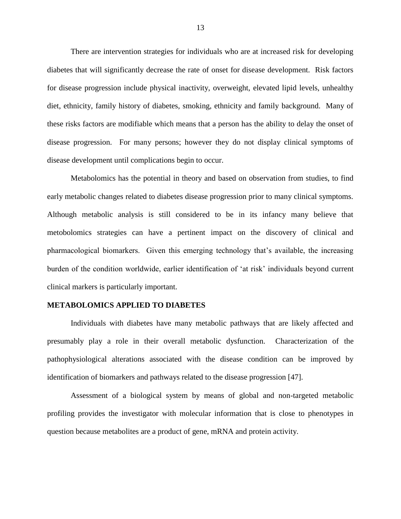There are intervention strategies for individuals who are at increased risk for developing diabetes that will significantly decrease the rate of onset for disease development. Risk factors for disease progression include physical inactivity, overweight, elevated lipid levels, unhealthy diet, ethnicity, family history of diabetes, smoking, ethnicity and family background. Many of these risks factors are modifiable which means that a person has the ability to delay the onset of disease progression. For many persons; however they do not display clinical symptoms of disease development until complications begin to occur.

Metabolomics has the potential in theory and based on observation from studies, to find early metabolic changes related to diabetes disease progression prior to many clinical symptoms. Although metabolic analysis is still considered to be in its infancy many believe that metobolomics strategies can have a pertinent impact on the discovery of clinical and pharmacological biomarkers. Given this emerging technology that's available, the increasing burden of the condition worldwide, earlier identification of 'at risk' individuals beyond current clinical markers is particularly important.

#### **METABOLOMICS APPLIED TO DIABETES**

Individuals with diabetes have many metabolic pathways that are likely affected and presumably play a role in their overall metabolic dysfunction. Characterization of the pathophysiological alterations associated with the disease condition can be improved by identification of biomarkers and pathways related to the disease progression [47].

Assessment of a biological system by means of global and non-targeted metabolic profiling provides the investigator with molecular information that is close to phenotypes in question because metabolites are a product of gene, mRNA and protein activity.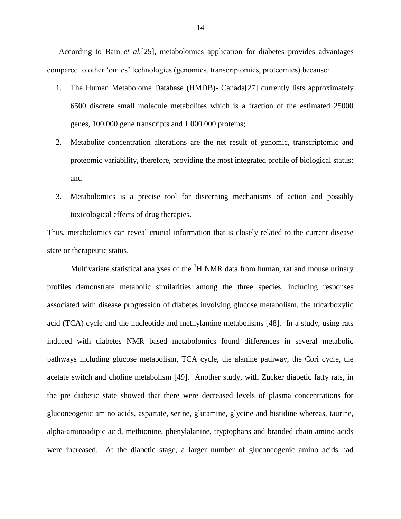According to Bain *et al.*[25], metabolomics application for diabetes provides advantages compared to other 'omics' technologies (genomics, transcriptomics, proteomics) because:

- 1. The Human Metabolome Database (HMDB)- Canada[27] currently lists approximately 6500 discrete small molecule metabolites which is a fraction of the estimated 25000 genes, 100 000 gene transcripts and 1 000 000 proteins;
- 2. Metabolite concentration alterations are the net result of genomic, transcriptomic and proteomic variability, therefore, providing the most integrated profile of biological status; and
- 3. Metabolomics is a precise tool for discerning mechanisms of action and possibly toxicological effects of drug therapies.

Thus, metabolomics can reveal crucial information that is closely related to the current disease state or therapeutic status.

Multivariate statistical analyses of the  ${}^{1}H$  NMR data from human, rat and mouse urinary profiles demonstrate metabolic similarities among the three species, including responses associated with disease progression of diabetes involving glucose metabolism, the tricarboxylic acid (TCA) cycle and the nucleotide and methylamine metabolisms [48]. In a study, using rats induced with diabetes NMR based metabolomics found differences in several metabolic pathways including glucose metabolism, TCA cycle, the alanine pathway, the Cori cycle, the acetate switch and choline metabolism [49]. Another study, with Zucker diabetic fatty rats, in the pre diabetic state showed that there were decreased levels of plasma concentrations for gluconeogenic amino acids, aspartate, serine, glutamine, glycine and histidine whereas, taurine, alpha-aminoadipic acid, methionine, phenylalanine, tryptophans and branded chain amino acids were increased. At the diabetic stage, a larger number of gluconeogenic amino acids had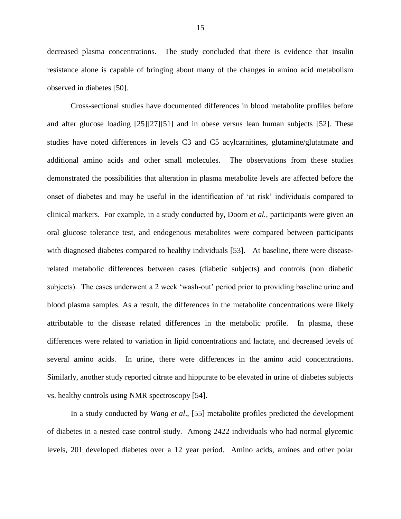decreased plasma concentrations. The study concluded that there is evidence that insulin resistance alone is capable of bringing about many of the changes in amino acid metabolism observed in diabetes [50].

Cross-sectional studies have documented differences in blood metabolite profiles before and after glucose loading [25][27][51] and in obese versus lean human subjects [52]. These studies have noted differences in levels C3 and C5 acylcarnitines, glutamine/glutatmate and additional amino acids and other small molecules. The observations from these studies demonstrated the possibilities that alteration in plasma metabolite levels are affected before the onset of diabetes and may be useful in the identification of 'at risk' individuals compared to clinical markers. For example, in a study conducted by, Doorn *et al.,* participants were given an oral glucose tolerance test, and endogenous metabolites were compared between participants with diagnosed diabetes compared to healthy individuals [53]. At baseline, there were diseaserelated metabolic differences between cases (diabetic subjects) and controls (non diabetic subjects). The cases underwent a 2 week 'wash-out' period prior to providing baseline urine and blood plasma samples. As a result, the differences in the metabolite concentrations were likely attributable to the disease related differences in the metabolic profile. In plasma, these differences were related to variation in lipid concentrations and lactate, and decreased levels of several amino acids. In urine, there were differences in the amino acid concentrations. Similarly, another study reported citrate and hippurate to be elevated in urine of diabetes subjects vs. healthy controls using NMR spectroscopy [54].

In a study conducted by *Wang et al*., [55] metabolite profiles predicted the development of diabetes in a nested case control study. Among 2422 individuals who had normal glycemic levels, 201 developed diabetes over a 12 year period. Amino acids, amines and other polar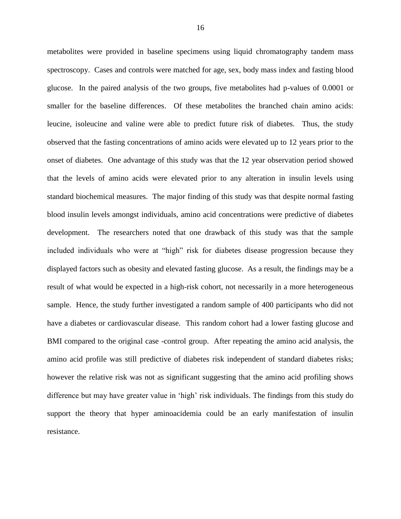metabolites were provided in baseline specimens using liquid chromatography tandem mass spectroscopy. Cases and controls were matched for age, sex, body mass index and fasting blood glucose. In the paired analysis of the two groups, five metabolites had p-values of 0.0001 or smaller for the baseline differences. Of these metabolites the branched chain amino acids: leucine, isoleucine and valine were able to predict future risk of diabetes. Thus, the study observed that the fasting concentrations of amino acids were elevated up to 12 years prior to the onset of diabetes. One advantage of this study was that the 12 year observation period showed that the levels of amino acids were elevated prior to any alteration in insulin levels using standard biochemical measures. The major finding of this study was that despite normal fasting blood insulin levels amongst individuals, amino acid concentrations were predictive of diabetes development. The researchers noted that one drawback of this study was that the sample included individuals who were at "high" risk for diabetes disease progression because they displayed factors such as obesity and elevated fasting glucose. As a result, the findings may be a result of what would be expected in a high-risk cohort, not necessarily in a more heterogeneous sample. Hence, the study further investigated a random sample of 400 participants who did not have a diabetes or cardiovascular disease. This random cohort had a lower fasting glucose and BMI compared to the original case -control group. After repeating the amino acid analysis, the amino acid profile was still predictive of diabetes risk independent of standard diabetes risks; however the relative risk was not as significant suggesting that the amino acid profiling shows difference but may have greater value in 'high' risk individuals. The findings from this study do support the theory that hyper aminoacidemia could be an early manifestation of insulin resistance.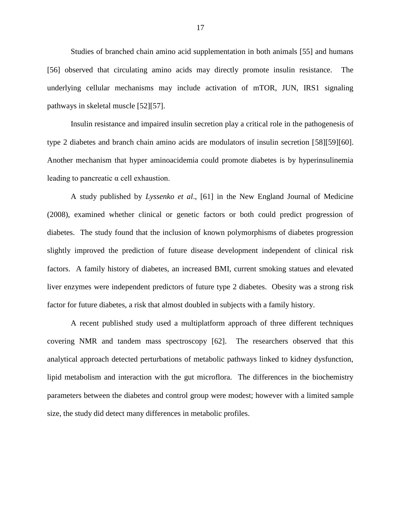Studies of branched chain amino acid supplementation in both animals [55] and humans [56] observed that circulating amino acids may directly promote insulin resistance. The underlying cellular mechanisms may include activation of mTOR, JUN, IRS1 signaling pathways in skeletal muscle [52][57].

Insulin resistance and impaired insulin secretion play a critical role in the pathogenesis of type 2 diabetes and branch chain amino acids are modulators of insulin secretion [58][59][60]. Another mechanism that hyper aminoacidemia could promote diabetes is by hyperinsulinemia leading to pancreatic α cell exhaustion.

A study published by *Lyssenko et al*., [61] in the New England Journal of Medicine (2008), examined whether clinical or genetic factors or both could predict progression of diabetes. The study found that the inclusion of known polymorphisms of diabetes progression slightly improved the prediction of future disease development independent of clinical risk factors. A family history of diabetes, an increased BMI, current smoking statues and elevated liver enzymes were independent predictors of future type 2 diabetes. Obesity was a strong risk factor for future diabetes, a risk that almost doubled in subjects with a family history.

A recent published study used a multiplatform approach of three different techniques covering NMR and tandem mass spectroscopy [62]. The researchers observed that this analytical approach detected perturbations of metabolic pathways linked to kidney dysfunction, lipid metabolism and interaction with the gut microflora. The differences in the biochemistry parameters between the diabetes and control group were modest; however with a limited sample size, the study did detect many differences in metabolic profiles.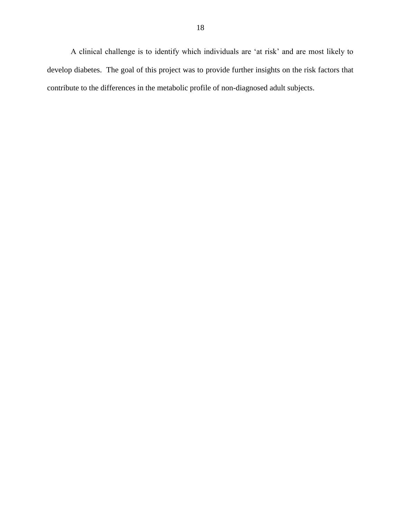A clinical challenge is to identify which individuals are 'at risk' and are most likely to develop diabetes. The goal of this project was to provide further insights on the risk factors that contribute to the differences in the metabolic profile of non-diagnosed adult subjects.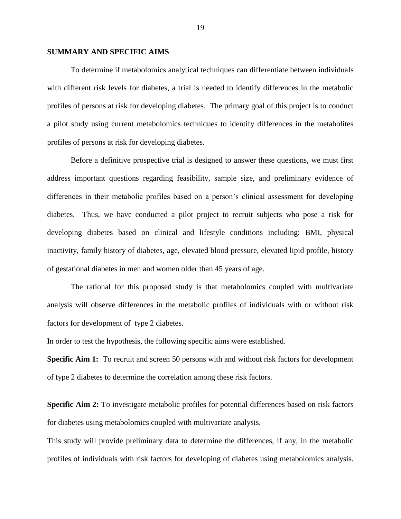#### **SUMMARY AND SPECIFIC AIMS**

To determine if metabolomics analytical techniques can differentiate between individuals with different risk levels for diabetes, a trial is needed to identify differences in the metabolic profiles of persons at risk for developing diabetes. The primary goal of this project is to conduct a pilot study using current metabolomics techniques to identify differences in the metabolites profiles of persons at risk for developing diabetes.

Before a definitive prospective trial is designed to answer these questions, we must first address important questions regarding feasibility, sample size, and preliminary evidence of differences in their metabolic profiles based on a person's clinical assessment for developing diabetes. Thus, we have conducted a pilot project to recruit subjects who pose a risk for developing diabetes based on clinical and lifestyle conditions including: BMI, physical inactivity, family history of diabetes, age, elevated blood pressure, elevated lipid profile, history of gestational diabetes in men and women older than 45 years of age.

The rational for this proposed study is that metabolomics coupled with multivariate analysis will observe differences in the metabolic profiles of individuals with or without risk factors for development of type 2 diabetes.

In order to test the hypothesis, the following specific aims were established.

**Specific Aim 1:** To recruit and screen 50 persons with and without risk factors for development of type 2 diabetes to determine the correlation among these risk factors.

**Specific Aim 2:** To investigate metabolic profiles for potential differences based on risk factors for diabetes using metabolomics coupled with multivariate analysis.

This study will provide preliminary data to determine the differences, if any, in the metabolic profiles of individuals with risk factors for developing of diabetes using metabolomics analysis.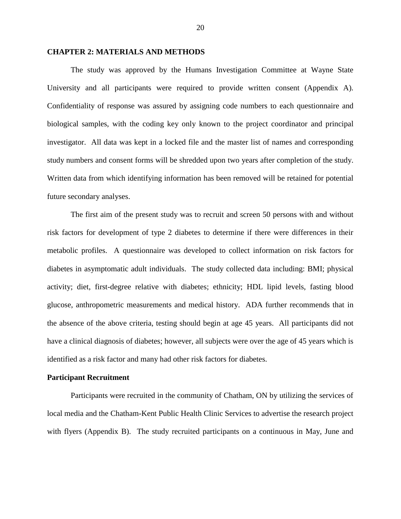#### **CHAPTER 2: MATERIALS AND METHODS**

The study was approved by the Humans Investigation Committee at Wayne State University and all participants were required to provide written consent (Appendix A). Confidentiality of response was assured by assigning code numbers to each questionnaire and biological samples, with the coding key only known to the project coordinator and principal investigator. All data was kept in a locked file and the master list of names and corresponding study numbers and consent forms will be shredded upon two years after completion of the study. Written data from which identifying information has been removed will be retained for potential future secondary analyses.

The first aim of the present study was to recruit and screen 50 persons with and without risk factors for development of type 2 diabetes to determine if there were differences in their metabolic profiles. A questionnaire was developed to collect information on risk factors for diabetes in asymptomatic adult individuals. The study collected data including: BMI; physical activity; diet, first-degree relative with diabetes; ethnicity; HDL lipid levels, fasting blood glucose, anthropometric measurements and medical history. ADA further recommends that in the absence of the above criteria, testing should begin at age 45 years. All participants did not have a clinical diagnosis of diabetes; however, all subjects were over the age of 45 years which is identified as a risk factor and many had other risk factors for diabetes.

#### **Participant Recruitment**

Participants were recruited in the community of Chatham, ON by utilizing the services of local media and the Chatham-Kent Public Health Clinic Services to advertise the research project with flyers (Appendix B). The study recruited participants on a continuous in May, June and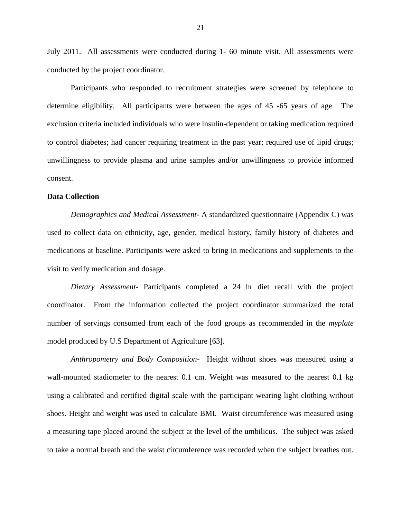July 2011. All assessments were conducted during 1- 60 minute visit. All assessments were conducted by the project coordinator.

Participants who responded to recruitment strategies were screened by telephone to determine eligibility. All participants were between the ages of 45 -65 years of age. The exclusion criteria included individuals who were insulin-dependent or taking medication required to control diabetes; had cancer requiring treatment in the past year; required use of lipid drugs; unwillingness to provide plasma and urine samples and/or unwillingness to provide informed consent.

#### **Data Collection**

*Demographics and Medical Assessment-* A standardized questionnaire (Appendix C) was used to collect data on ethnicity, age, gender, medical history, family history of diabetes and medications at baseline. Participants were asked to bring in medications and supplements to the visit to verify medication and dosage.

*Dietary Assessment-* Participants completed a 24 hr diet recall with the project coordinator. From the information collected the project coordinator summarized the total number of servings consumed from each of the food groups as recommended in the *myplate* model produced by U.S Department of Agriculture [63].

*Anthropometry and Body Composition*- Height without shoes was measured using a wall-mounted stadiometer to the nearest 0.1 cm. Weight was measured to the nearest 0.1 kg using a calibrated and certified digital scale with the participant wearing light clothing without shoes. Height and weight was used to calculate BMI. Waist circumference was measured using a measuring tape placed around the subject at the level of the umbilicus. The subject was asked to take a normal breath and the waist circumference was recorded when the subject breathes out.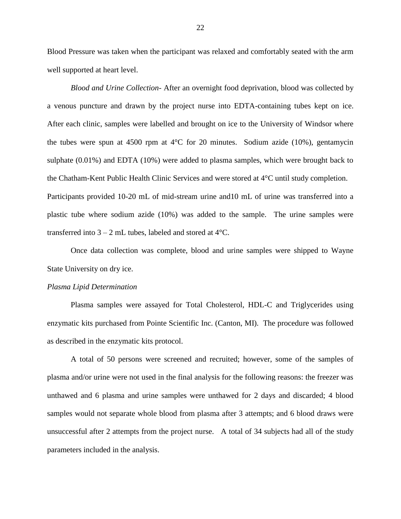Blood Pressure was taken when the participant was relaxed and comfortably seated with the arm well supported at heart level.

*Blood and Urine Collection-* After an overnight food deprivation, blood was collected by a venous puncture and drawn by the project nurse into EDTA-containing tubes kept on ice. After each clinic, samples were labelled and brought on ice to the University of Windsor where the tubes were spun at 4500 rpm at  $4^{\circ}$ C for 20 minutes. Sodium azide (10%), gentamycin sulphate (0.01%) and EDTA (10%) were added to plasma samples, which were brought back to the Chatham-Kent Public Health Clinic Services and were stored at 4°C until study completion. Participants provided 10-20 mL of mid-stream urine and10 mL of urine was transferred into a plastic tube where sodium azide (10%) was added to the sample. The urine samples were transferred into  $3 - 2$  mL tubes, labeled and stored at  $4^{\circ}$ C.

Once data collection was complete, blood and urine samples were shipped to Wayne State University on dry ice.

#### *Plasma Lipid Determination*

Plasma samples were assayed for Total Cholesterol, HDL-C and Triglycerides using enzymatic kits purchased from Pointe Scientific Inc. (Canton, MI). The procedure was followed as described in the enzymatic kits protocol.

A total of 50 persons were screened and recruited; however, some of the samples of plasma and/or urine were not used in the final analysis for the following reasons: the freezer was unthawed and 6 plasma and urine samples were unthawed for 2 days and discarded; 4 blood samples would not separate whole blood from plasma after 3 attempts; and 6 blood draws were unsuccessful after 2 attempts from the project nurse. A total of 34 subjects had all of the study parameters included in the analysis.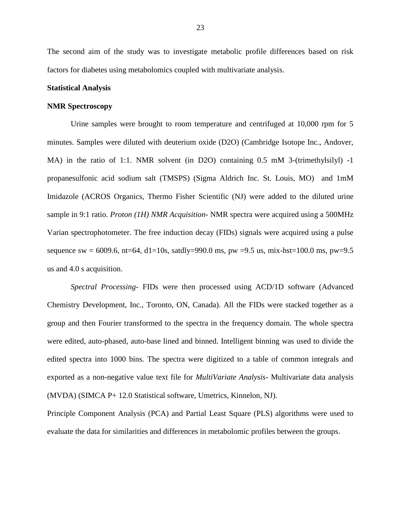The second aim of the study was to investigate metabolic profile differences based on risk factors for diabetes using metabolomics coupled with multivariate analysis.

#### **Statistical Analysis**

#### **NMR Spectroscopy**

Urine samples were brought to room temperature and centrifuged at 10,000 rpm for 5 minutes. Samples were diluted with deuterium oxide (D2O) (Cambridge Isotope Inc., Andover, MA) in the ratio of 1:1. NMR solvent (in D2O) containing 0.5 mM 3-(trimethylsilyl) -1 propanesulfonic acid sodium salt (TMSPS) (Sigma Aldrich Inc. St. Louis, MO) and 1mM Imidazole (ACROS Organics, Thermo Fisher Scientific (NJ) were added to the diluted urine sample in 9:1 ratio. *Proton (1H) NMR Acquisition-* NMR spectra were acquired using a 500MHz Varian spectrophotometer. The free induction decay (FIDs) signals were acquired using a pulse sequence sw = 6009.6, nt=64, d1=10s, satdly=990.0 ms, pw =9.5 us, mix-hst=100.0 ms, pw=9.5 us and 4.0 s acquisition.

*Spectral Processing-* FIDs were then processed using ACD/1D software (Advanced Chemistry Development, Inc., Toronto, ON, Canada). All the FIDs were stacked together as a group and then Fourier transformed to the spectra in the frequency domain. The whole spectra were edited, auto-phased, auto-base lined and binned. Intelligent binning was used to divide the edited spectra into 1000 bins. The spectra were digitized to a table of common integrals and exported as a non-negative value text file for *MultiVariate Analysis*- Multivariate data analysis (MVDA) (SIMCA P+ 12.0 Statistical software, Umetrics, Kinnelon, NJ).

Principle Component Analysis (PCA) and Partial Least Square (PLS) algorithms were used to evaluate the data for similarities and differences in metabolomic profiles between the groups.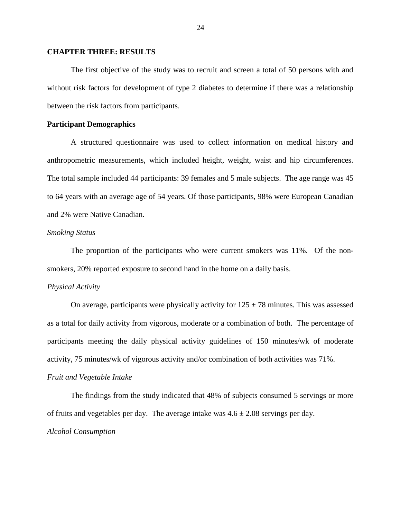#### **CHAPTER THREE: RESULTS**

The first objective of the study was to recruit and screen a total of 50 persons with and without risk factors for development of type 2 diabetes to determine if there was a relationship between the risk factors from participants.

#### **Participant Demographics**

A structured questionnaire was used to collect information on medical history and anthropometric measurements, which included height, weight, waist and hip circumferences. The total sample included 44 participants: 39 females and 5 male subjects. The age range was 45 to 64 years with an average age of 54 years. Of those participants, 98% were European Canadian and 2% were Native Canadian.

#### *Smoking Status*

The proportion of the participants who were current smokers was 11%. Of the nonsmokers, 20% reported exposure to second hand in the home on a daily basis.

#### *Physical Activity*

On average, participants were physically activity for  $125 \pm 78$  minutes. This was assessed as a total for daily activity from vigorous, moderate or a combination of both. The percentage of participants meeting the daily physical activity guidelines of 150 minutes/wk of moderate activity, 75 minutes/wk of vigorous activity and/or combination of both activities was 71%.

#### *Fruit and Vegetable Intake*

The findings from the study indicated that 48% of subjects consumed 5 servings or more of fruits and vegetables per day. The average intake was  $4.6 \pm 2.08$  servings per day. *Alcohol Consumption*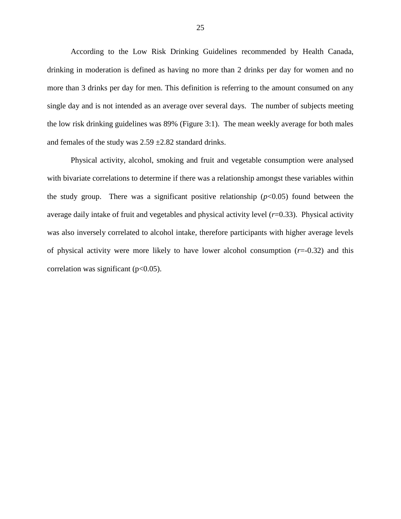According to the Low Risk Drinking Guidelines recommended by Health Canada, drinking in moderation is defined as having no more than 2 drinks per day for women and no more than 3 drinks per day for men. This definition is referring to the amount consumed on any single day and is not intended as an average over several days. The number of subjects meeting the low risk drinking guidelines was 89% (Figure 3:1). The mean weekly average for both males and females of the study was  $2.59 \pm 2.82$  standard drinks.

Physical activity, alcohol, smoking and fruit and vegetable consumption were analysed with bivariate correlations to determine if there was a relationship amongst these variables within the study group. There was a significant positive relationship  $(p<0.05)$  found between the average daily intake of fruit and vegetables and physical activity level (*r*=0.33). Physical activity was also inversely correlated to alcohol intake, therefore participants with higher average levels of physical activity were more likely to have lower alcohol consumption  $(r=0.32)$  and this correlation was significant ( $p<0.05$ ).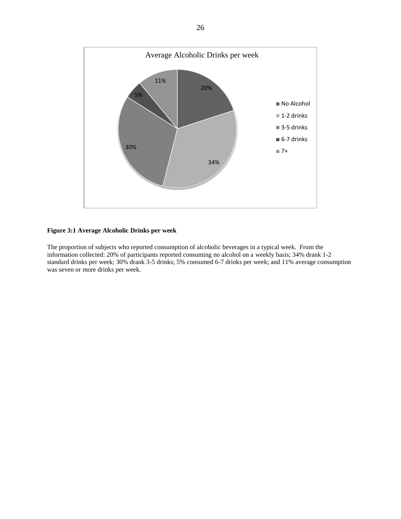

#### **Figure 3:1 Average Alcoholic Drinks per week**

The proportion of subjects who reported consumption of alcoholic beverages in a typical week. From the information collected: 20% of participants reported consuming no alcohol on a weekly basis; 34% drank 1-2 standard drinks per week; 30% drank 3-5 drinks; 5% consumed 6-7 drinks per week; and 11% average consumption was seven or more drinks per week.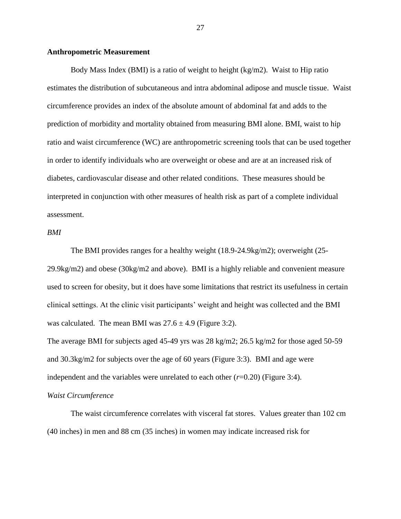#### **Anthropometric Measurement**

Body Mass Index (BMI) is a ratio of weight to height (kg/m2). Waist to Hip ratio estimates the distribution of subcutaneous and intra abdominal adipose and muscle tissue. Waist circumference provides an index of the absolute amount of abdominal fat and adds to the prediction of morbidity and mortality obtained from measuring BMI alone. BMI, waist to hip ratio and waist circumference (WC) are anthropometric screening tools that can be used together in order to identify individuals who are overweight or obese and are at an increased risk of diabetes, cardiovascular disease and other related conditions. These measures should be interpreted in conjunction with other measures of health risk as part of a complete individual assessment.

#### *BMI*

The BMI provides ranges for a healthy weight (18.9-24.9kg/m2); overweight (25- 29.9kg/m2) and obese (30kg/m2 and above). BMI is a highly reliable and convenient measure used to screen for obesity, but it does have some limitations that restrict its usefulness in certain clinical settings. At the clinic visit participants' weight and height was collected and the BMI was calculated. The mean BMI was  $27.6 \pm 4.9$  (Figure 3:2).

The average BMI for subjects aged 45-49 yrs was 28 kg/m2; 26.5 kg/m2 for those aged 50-59 and 30.3kg/m2 for subjects over the age of 60 years (Figure 3:3). BMI and age were independent and the variables were unrelated to each other  $(r=0.20)$  (Figure 3:4).

#### *Waist Circumference*

The waist circumference correlates with visceral fat stores. Values greater than 102 cm (40 inches) in men and 88 cm (35 inches) in women may indicate increased risk for

27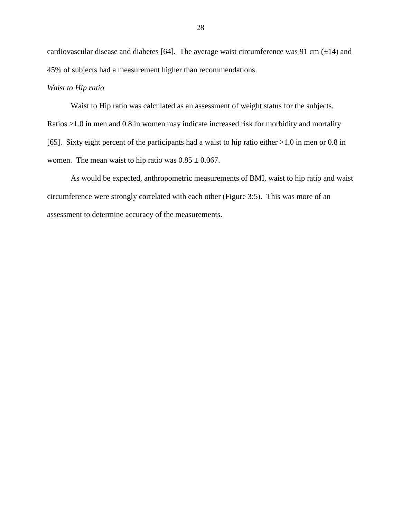cardiovascular disease and diabetes [64]. The average waist circumference was 91 cm  $(\pm 14)$  and 45% of subjects had a measurement higher than recommendations.

## *Waist to Hip ratio*

Waist to Hip ratio was calculated as an assessment of weight status for the subjects. Ratios >1.0 in men and 0.8 in women may indicate increased risk for morbidity and mortality [65]. Sixty eight percent of the participants had a waist to hip ratio either >1.0 in men or 0.8 in women. The mean waist to hip ratio was  $0.85 \pm 0.067$ .

As would be expected, anthropometric measurements of BMI, waist to hip ratio and waist circumference were strongly correlated with each other (Figure 3:5). This was more of an assessment to determine accuracy of the measurements.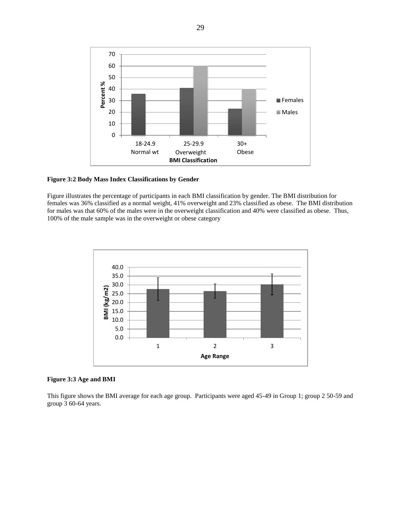

**Figure 3:2 Body Mass Index Classifications by Gender**

Figure illustrates the percentage of participants in each BMI classification by gender. The BMI distribution for females was 36% classified as a normal weight, 41% overweight and 23% classified as obese. The BMI distribution for males was that 60% of the males were in the overweight classification and 40% were classified as obese. Thus, 100% of the male sample was in the overweight or obese category



**Figure 3:3 Age and BMI**

This figure shows the BMI average for each age group. Participants were aged 45-49 in Group 1; group 2 50-59 and group 3 60-64 years.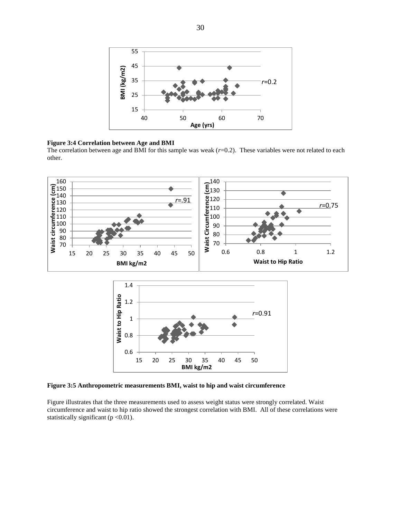

#### **Figure 3:4 Correlation between Age and BMI**

The correlation between age and BMI for this sample was weak ( $r=0.2$ ). These variables were not related to each other.



**Figure 3:5 Anthropometric measurements BMI, waist to hip and waist circumference**

Figure illustrates that the three measurements used to assess weight status were strongly correlated. Waist circumference and waist to hip ratio showed the strongest correlation with BMI. All of these correlations were statistically significant ( $p < 0.01$ ).

**BMI kg/m2**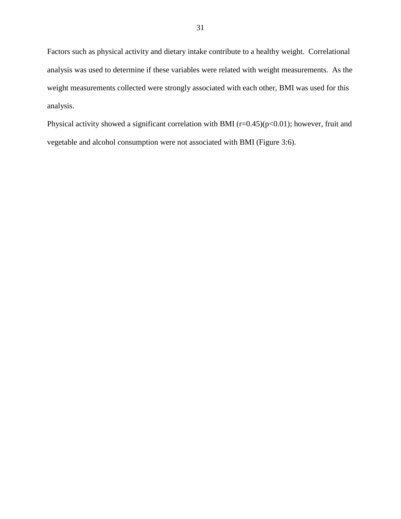Factors such as physical activity and dietary intake contribute to a healthy weight. Correlational analysis was used to determine if these variables were related with weight measurements. As the weight measurements collected were strongly associated with each other, BMI was used for this analysis.

Physical activity showed a significant correlation with BMI ( $r=0.45$ )( $p<0.01$ ); however, fruit and vegetable and alcohol consumption were not associated with BMI (Figure 3:6).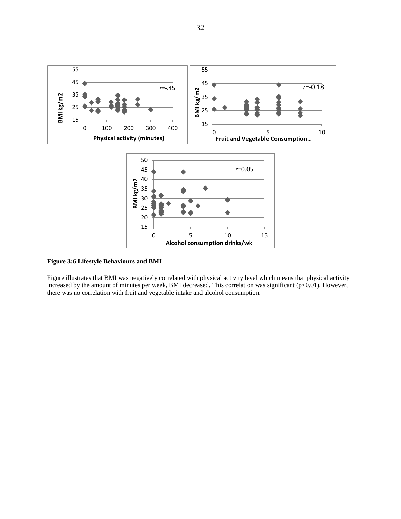

**Figure 3:6 Lifestyle Behaviours and BMI**

Figure illustrates that BMI was negatively correlated with physical activity level which means that physical activity increased by the amount of minutes per week, BMI decreased. This correlation was significant (p<0.01). However, there was no correlation with fruit and vegetable intake and alcohol consumption.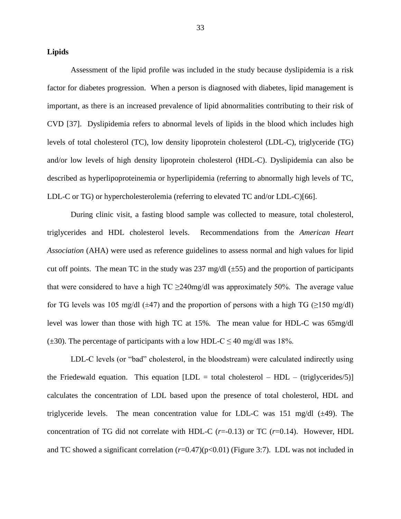#### **Lipids**

Assessment of the lipid profile was included in the study because dyslipidemia is a risk factor for diabetes progression. When a person is diagnosed with diabetes, lipid management is important, as there is an increased prevalence of lipid abnormalities contributing to their risk of CVD [37]. Dyslipidemia refers to abnormal levels of lipids in the blood which includes high levels of total cholesterol (TC), low density lipoprotein cholesterol (LDL-C), triglyceride (TG) and/or low levels of high density lipoprotein cholesterol (HDL-C). Dyslipidemia can also be described as hyperlipoproteinemia or hyperlipidemia (referring to abnormally high levels of TC, LDL-C or TG) or hypercholesterolemia (referring to elevated TC and/or LDL-C)[66].

During clinic visit, a fasting blood sample was collected to measure, total cholesterol, triglycerides and HDL cholesterol levels. Recommendations from the *American Heart Association* (AHA) were used as reference guidelines to assess normal and high values for lipid cut off points. The mean TC in the study was  $237 \text{ mg/dl}$  ( $\pm 55$ ) and the proportion of participants that were considered to have a high  $TC \geq 240 \text{mg/dl}$  was approximately 50%. The average value for TG levels was 105 mg/dl ( $\pm$ 47) and the proportion of persons with a high TG ( $\geq$ 150 mg/dl) level was lower than those with high TC at 15%. The mean value for HDL-C was 65mg/dl ( $\pm$ 30). The percentage of participants with a low HDL-C  $\leq$  40 mg/dl was 18%.

LDL-C levels (or "bad" cholesterol, in the bloodstream) were calculated indirectly using the Friedewald equation. This equation  $[LDL = total cholesterol - HDL - (triglycerides/5)]$ calculates the concentration of LDL based upon the presence of total cholesterol, HDL and triglyceride levels. The mean concentration value for LDL-C was 151 mg/dl  $(\pm 49)$ . The concentration of TG did not correlate with HDL-C  $(r=0.13)$  or TC  $(r=0.14)$ . However, HDL and TC showed a significant correlation  $(r=0.47)(p<0.01)$  (Figure 3:7). LDL was not included in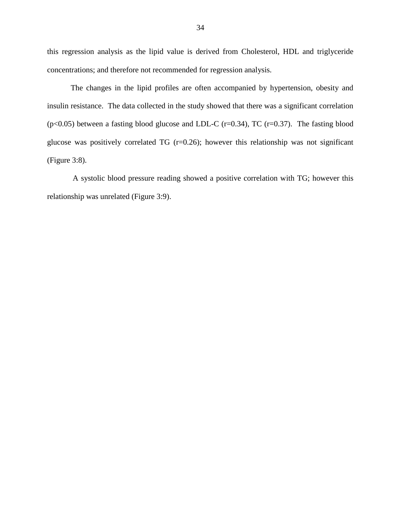this regression analysis as the lipid value is derived from Cholesterol, HDL and triglyceride concentrations; and therefore not recommended for regression analysis.

The changes in the lipid profiles are often accompanied by hypertension, obesity and insulin resistance. The data collected in the study showed that there was a significant correlation ( $p<0.05$ ) between a fasting blood glucose and LDL-C ( $r=0.34$ ), TC ( $r=0.37$ ). The fasting blood glucose was positively correlated TG  $(r=0.26)$ ; however this relationship was not significant (Figure 3:8).

A systolic blood pressure reading showed a positive correlation with TG; however this relationship was unrelated (Figure 3:9).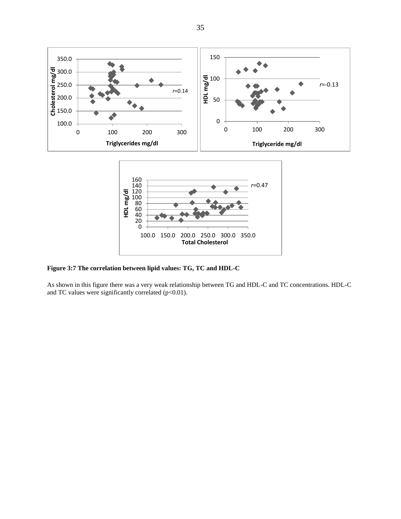

**Figure 3:7 The correlation between lipid values: TG, TC and HDL-C** 

As shown in this figure there was a very weak relationship between TG and HDL-C and TC concentrations. HDL-C and TC values were significantly correlated ( $p<0.01$ ).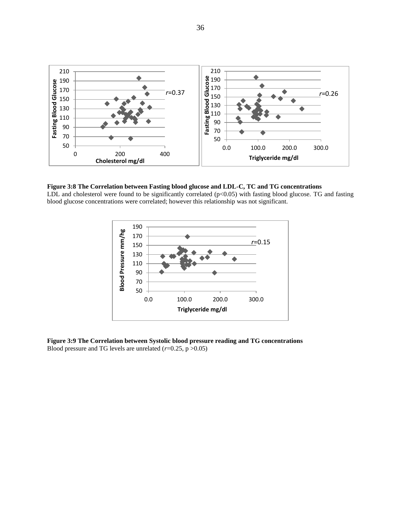

#### **Figure 3:8 The Correlation between Fasting blood glucose and LDL-C, TC and TG concentrations**

LDL and cholesterol were found to be significantly correlated  $(p<0.05)$  with fasting blood glucose. TG and fasting blood glucose concentrations were correlated; however this relationship was not significant.



**Figure 3:9 The Correlation between Systolic blood pressure reading and TG concentrations** Blood pressure and TG levels are unrelated  $(r=0.25, p > 0.05)$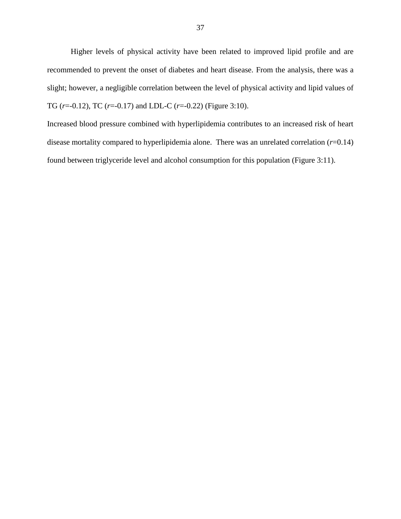Higher levels of physical activity have been related to improved lipid profile and are recommended to prevent the onset of diabetes and heart disease. From the analysis, there was a slight; however, a negligible correlation between the level of physical activity and lipid values of TG (*r*=-0.12), TC (*r*=-0.17) and LDL-C (*r*=-0.22) (Figure 3:10).

Increased blood pressure combined with hyperlipidemia contributes to an increased risk of heart disease mortality compared to hyperlipidemia alone. There was an unrelated correlation (*r*=0.14) found between triglyceride level and alcohol consumption for this population (Figure 3:11).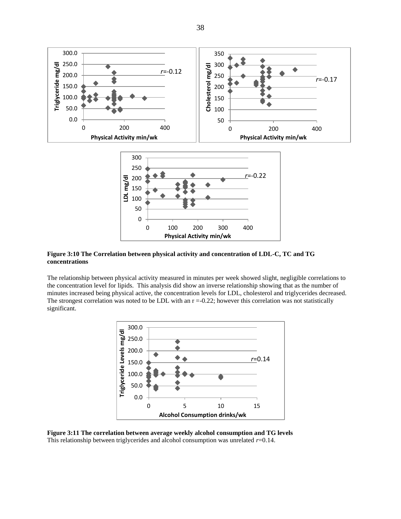

**Figure 3:10 The Correlation between physical activity and concentration of LDL-C, TC and TG concentrations**

The relationship between physical activity measured in minutes per week showed slight, negligible correlations to the concentration level for lipids. This analysis did show an inverse relationship showing that as the number of minutes increased being physical active, the concentration levels for LDL, cholesterol and triglycerides decreased. The strongest correlation was noted to be LDL with an  $r = 0.22$ ; however this correlation was not statistically significant.



**Figure 3:11 The correlation between average weekly alcohol consumption and TG levels** This relationship between triglycerides and alcohol consumption was unrelated  $r=0.14$ .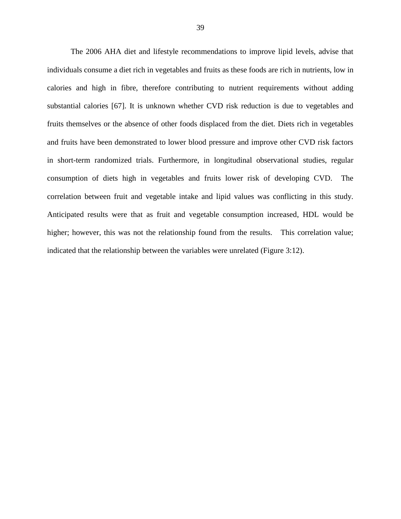The 2006 AHA diet and lifestyle recommendations to improve lipid levels, advise that individuals consume a diet rich in vegetables and fruits as these foods are rich in nutrients, low in calories and high in fibre, therefore contributing to nutrient requirements without adding substantial calories [67]. It is unknown whether CVD risk reduction is due to vegetables and fruits themselves or the absence of other foods displaced from the diet. Diets rich in vegetables and fruits have been demonstrated to lower blood pressure and improve other CVD risk factors in short-term randomized trials. Furthermore, in longitudinal observational studies, regular consumption of diets high in vegetables and fruits lower risk of developing CVD. The correlation between fruit and vegetable intake and lipid values was conflicting in this study. Anticipated results were that as fruit and vegetable consumption increased, HDL would be higher; however, this was not the relationship found from the results. This correlation value; indicated that the relationship between the variables were unrelated (Figure 3:12).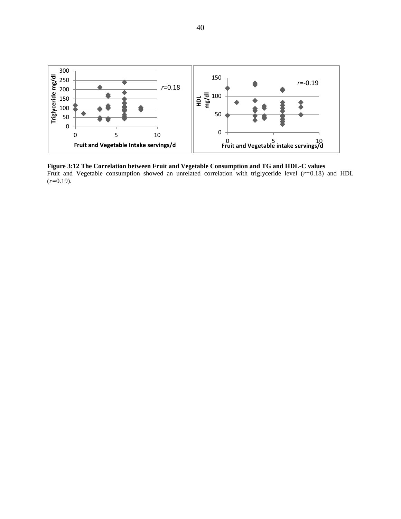

**Figure 3:12 The Correlation between Fruit and Vegetable Consumption and TG and HDL-C values** Fruit and Vegetable consumption showed an unrelated correlation with triglyceride level (*r=*0.18) and HDL (*r=*0.19).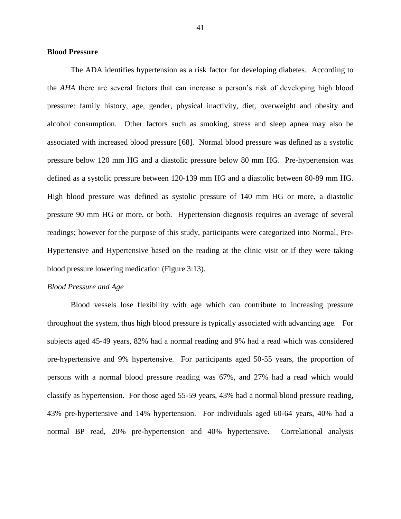#### **Blood Pressure**

The ADA identifies hypertension as a risk factor for developing diabetes. According to the *AHA* there are several factors that can increase a person's risk of developing high blood pressure: family history, age, gender, physical inactivity, diet, overweight and obesity and alcohol consumption. Other factors such as smoking, stress and sleep apnea may also be associated with increased blood pressure [68]. Normal blood pressure was defined as a systolic pressure below 120 mm HG and a diastolic pressure below 80 mm HG. Pre-hypertension was defined as a systolic pressure between 120-139 mm HG and a diastolic between 80-89 mm HG. High blood pressure was defined as systolic pressure of 140 mm HG or more, a diastolic pressure 90 mm HG or more, or both. Hypertension diagnosis requires an average of several readings; however for the purpose of this study, participants were categorized into Normal, Pre-Hypertensive and Hypertensive based on the reading at the clinic visit or if they were taking blood pressure lowering medication (Figure 3:13).

#### *Blood Pressure and Age*

Blood vessels lose flexibility with age which can contribute to increasing pressure throughout the system, thus high blood pressure is typically associated with advancing age. For subjects aged 45-49 years, 82% had a normal reading and 9% had a read which was considered pre-hypertensive and 9% hypertensive. For participants aged 50-55 years, the proportion of persons with a normal blood pressure reading was 67%, and 27% had a read which would classify as hypertension. For those aged 55-59 years, 43% had a normal blood pressure reading, 43% pre-hypertensive and 14% hypertension. For individuals aged 60-64 years, 40% had a normal BP read, 20% pre-hypertension and 40% hypertensive. Correlational analysis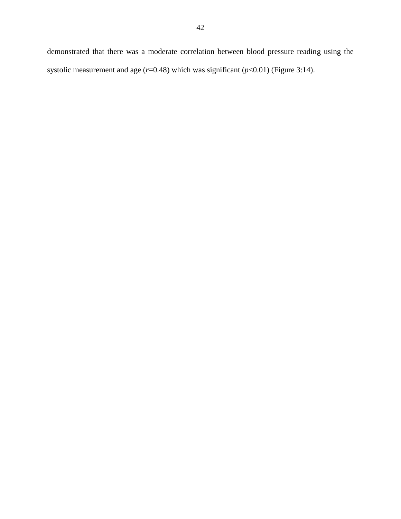demonstrated that there was a moderate correlation between blood pressure reading using the systolic measurement and age (*r*=0.48) which was significant (*p*<0.01) (Figure 3:14).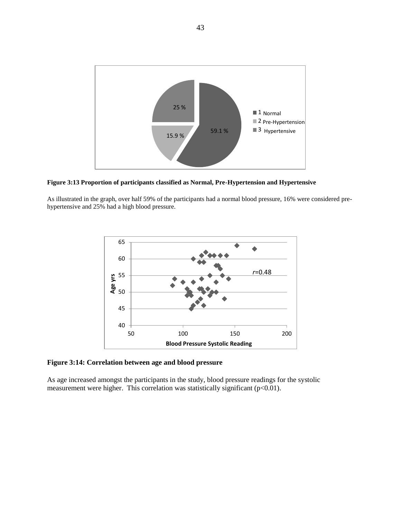

**Figure 3:13 Proportion of participants classified as Normal, Pre-Hypertension and Hypertensive**

As illustrated in the graph, over half 59% of the participants had a normal blood pressure, 16% were considered prehypertensive and 25% had a high blood pressure.



**Figure 3:14: Correlation between age and blood pressure**

As age increased amongst the participants in the study, blood pressure readings for the systolic measurement were higher. This correlation was statistically significant (p<0.01).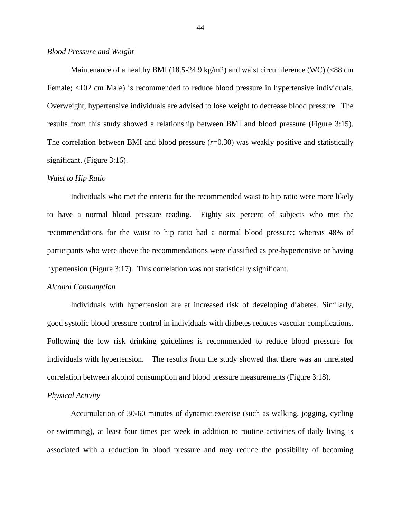#### *Blood Pressure and Weight*

Maintenance of a healthy BMI (18.5-24.9 kg/m2) and waist circumference (WC) ( $<88$  cm Female; <102 cm Male) is recommended to reduce blood pressure in hypertensive individuals. Overweight, hypertensive individuals are advised to lose weight to decrease blood pressure. The results from this study showed a relationship between BMI and blood pressure (Figure 3:15). The correlation between BMI and blood pressure  $(r=0.30)$  was weakly positive and statistically significant. (Figure 3:16).

#### *Waist to Hip Ratio*

Individuals who met the criteria for the recommended waist to hip ratio were more likely to have a normal blood pressure reading. Eighty six percent of subjects who met the recommendations for the waist to hip ratio had a normal blood pressure; whereas 48% of participants who were above the recommendations were classified as pre-hypertensive or having hypertension (Figure 3:17). This correlation was not statistically significant.

#### *Alcohol Consumption*

Individuals with hypertension are at increased risk of developing diabetes. Similarly, good systolic blood pressure control in individuals with diabetes reduces vascular complications. Following the low risk drinking guidelines is recommended to reduce blood pressure for individuals with hypertension. The results from the study showed that there was an unrelated correlation between alcohol consumption and blood pressure measurements (Figure 3:18).

#### *Physical Activity*

Accumulation of 30-60 minutes of dynamic exercise (such as walking, jogging, cycling or swimming), at least four times per week in addition to routine activities of daily living is associated with a reduction in blood pressure and may reduce the possibility of becoming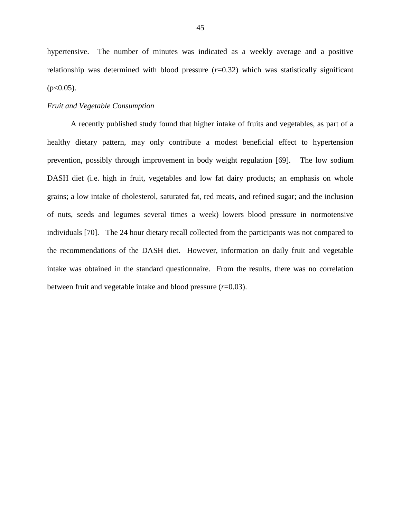hypertensive. The number of minutes was indicated as a weekly average and a positive relationship was determined with blood pressure ( $r=0.32$ ) which was statistically significant  $(p<0.05)$ .

#### *Fruit and Vegetable Consumption*

A recently published study found that higher intake of fruits and vegetables, as part of a healthy dietary pattern, may only contribute a modest beneficial effect to hypertension prevention, possibly through improvement in body weight regulation [69]. The low sodium DASH diet (i.e. high in fruit, vegetables and low fat dairy products; an emphasis on whole grains; a low intake of cholesterol, saturated fat, red meats, and refined sugar; and the inclusion of nuts, seeds and legumes several times a week) lowers blood pressure in normotensive individuals [70]. The 24 hour dietary recall collected from the participants was not compared to the recommendations of the DASH diet. However, information on daily fruit and vegetable intake was obtained in the standard questionnaire. From the results, there was no correlation between fruit and vegetable intake and blood pressure (*r*=0.03).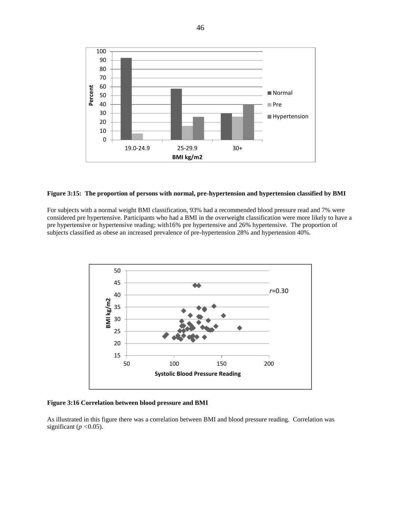

#### **Figure 3:15: The proportion of persons with normal, pre-hypertension and hypertension classified by BMI**

For subjects with a normal weight BMI classification, 93% had a recommended blood pressure read and 7% were considered pre hypertensive. Participants who had a BMI in the overweight classification were more likely to have a pre hypertensive or hypertensive reading; with16% pre hypertensive and 26% hypertensive. The proportion of subjects classified as obese an increased prevalence of pre-hypertension 28% and hypertension 40%.



**Figure 3:16 Correlation between blood pressure and BMI**

As illustrated in this figure there was a correlation between BMI and blood pressure reading. Correlation was significant (*p <*0.05).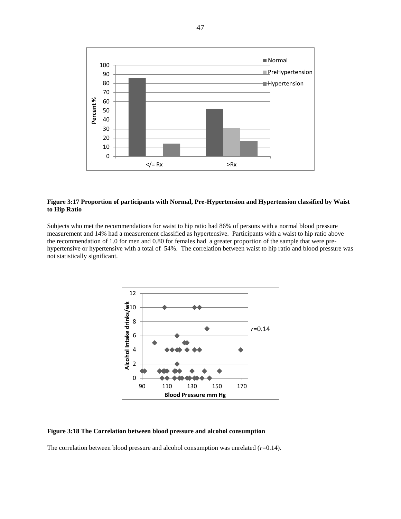

#### **Figure 3:17 Proportion of participants with Normal, Pre-Hypertension and Hypertension classified by Waist to Hip Ratio**

Subjects who met the recommendations for waist to hip ratio had 86% of persons with a normal blood pressure measurement and 14% had a measurement classified as hypertensive. Participants with a waist to hip ratio above the recommendation of 1.0 for men and 0.80 for females had a greater proportion of the sample that were prehypertensive or hypertensive with a total of 54%. The correlation between waist to hip ratio and blood pressure was not statistically significant.



#### **Figure 3:18 The Correlation between blood pressure and alcohol consumption**

The correlation between blood pressure and alcohol consumption was unrelated  $(r=0.14)$ .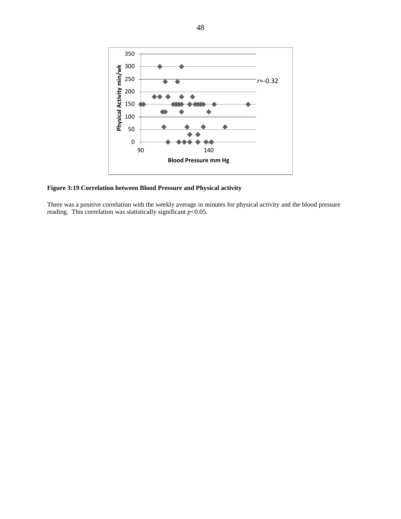

**Figure 3:19 Correlation between Blood Pressure and Physical activity**

There was a positive correlation with the weekly average in minutes for physical activity and the blood pressure reading. This correlation was statistically significant *p*<0.05.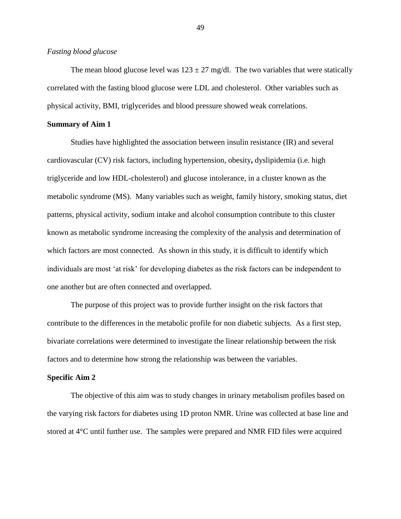#### *Fasting blood glucose*

The mean blood glucose level was  $123 \pm 27$  mg/dl. The two variables that were statically correlated with the fasting blood glucose were LDL and cholesterol. Other variables such as physical activity, BMI, triglycerides and blood pressure showed weak correlations.

#### **Summary of Aim 1**

Studies have highlighted the association between insulin resistance (IR) and several cardiovascular (CV) risk factors, including hypertension, obesity**,** dyslipidemia (i.e. high triglyceride and low HDL-cholesterol) and glucose intolerance, in a cluster known as the metabolic syndrome (MS). Many variables such as weight, family history, smoking status, diet patterns, physical activity, sodium intake and alcohol consumption contribute to this cluster known as metabolic syndrome increasing the complexity of the analysis and determination of which factors are most connected. As shown in this study, it is difficult to identify which individuals are most 'at risk' for developing diabetes as the risk factors can be independent to one another but are often connected and overlapped.

The purpose of this project was to provide further insight on the risk factors that contribute to the differences in the metabolic profile for non diabetic subjects. As a first step, bivariate correlations were determined to investigate the linear relationship between the risk factors and to determine how strong the relationship was between the variables.

#### **Specific Aim 2**

The objective of this aim was to study changes in urinary metabolism profiles based on the varying risk factors for diabetes using 1D proton NMR. Urine was collected at base line and stored at 4°C until further use. The samples were prepared and NMR FID files were acquired

49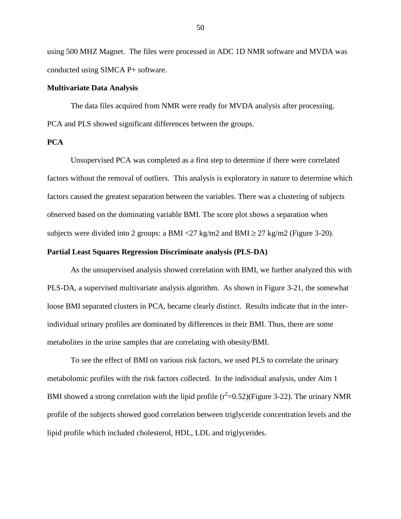using 500 MHZ Magnet. The files were processed in ADC 1D NMR software and MVDA was conducted using SIMCA P+ software.

#### **Multivariate Data Analysis**

The data files acquired from NMR were ready for MVDA analysis after processing. PCA and PLS showed significant differences between the groups.

### **PCA**

Unsupervised PCA was completed as a first step to determine if there were correlated factors without the removal of outliers. This analysis is exploratory in nature to determine which factors caused the greatest separation between the variables. There was a clustering of subjects observed based on the dominating variable BMI. The score plot shows a separation when subjects were divided into 2 groups: a BMI <27 kg/m2 and BMI  $\geq$  27 kg/m2 (Figure 3-20).

#### **Partial Least Squares Regression Discriminate analysis (PLS-DA)**

As the unsupervised analysis showed correlation with BMI, we further analyzed this with PLS-DA, a supervised multivariate analysis algorithm. As shown in Figure 3-21, the somewhat loose BMI separated clusters in PCA, became clearly distinct. Results indicate that in the interindividual urinary profiles are dominated by differences in their BMI. Thus, there are some metabolites in the urine samples that are correlating with obesity/BMI.

To see the effect of BMI on various risk factors, we used PLS to correlate the urinary metabolomic profiles with the risk factors collected. In the individual analysis, under Aim 1 BMI showed a strong correlation with the lipid profile  $(r^2=0.52)$  (Figure 3-22). The urinary NMR profile of the subjects showed good correlation between triglyceride concentration levels and the lipid profile which included cholesterol, HDL, LDL and triglycerides.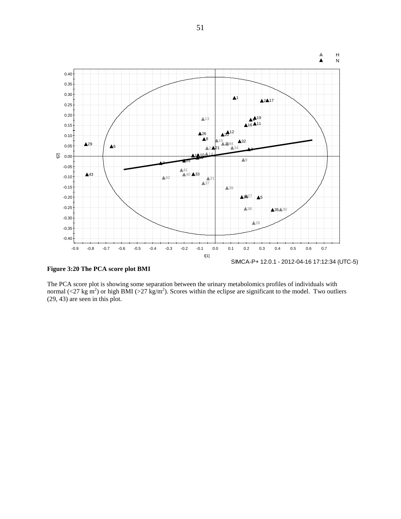

**Figure 3:20 The PCA score plot BMI** 

The PCA score plot is showing some separation between the urinary metabolomics profiles of individuals with normal (<27 kg m<sup>2</sup>) or high BMI (>27 kg/m<sup>2</sup>). Scores within the eclipse are significant to the model. Two outliers (29, 43) are seen in this plot.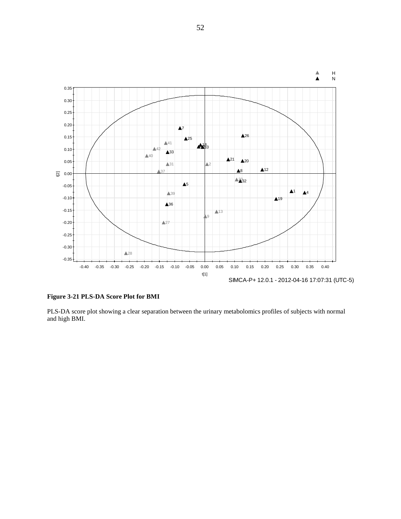

**Figure 3-21 PLS-DA Score Plot for BMI**

PLS-DA score plot showing a clear separation between the urinary metabolomics profiles of subjects with normal and high BMI.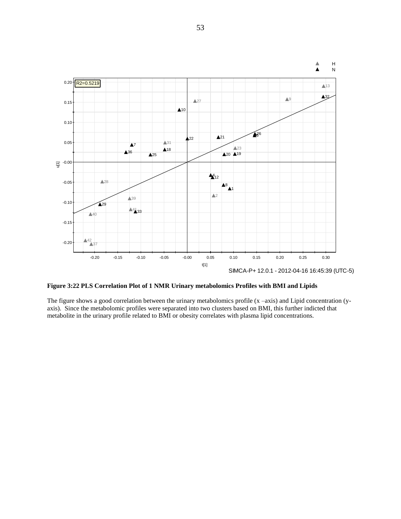

**Figure 3:22 PLS Correlation Plot of 1 NMR Urinary metabolomics Profiles with BMI and Lipids**

The figure shows a good correlation between the urinary metabolomics profile  $(x - axis)$  and Lipid concentration  $(y - axis)$ axis). Since the metabolomic profiles were separated into two clusters based on BMI, this further indicted that metabolite in the urinary profile related to BMI or obesity correlates with plasma lipid concentrations.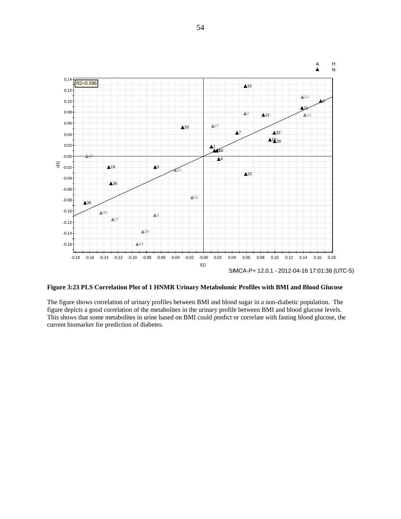

**Figure 3:23 PLS Correlation Plot of 1 HNMR Urinary Metabolomic Profiles with BMI and Blood Glucose**

The figure shows correlation of urinary profiles between BMI and blood sugar in a non-diabetic population. The figure depicts a good correlation of the metabolites in the urinary profile between BMI and blood glucose levels. This shows that some metabolites in urine based on BMI could predict or correlate with fasting blood glucose, the current biomarker for prediction of diabetes.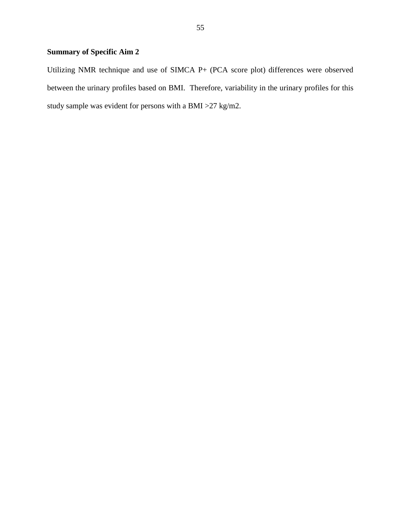# **Summary of Specific Aim 2**

Utilizing NMR technique and use of SIMCA P+ (PCA score plot) differences were observed between the urinary profiles based on BMI. Therefore, variability in the urinary profiles for this study sample was evident for persons with a BMI >27 kg/m2.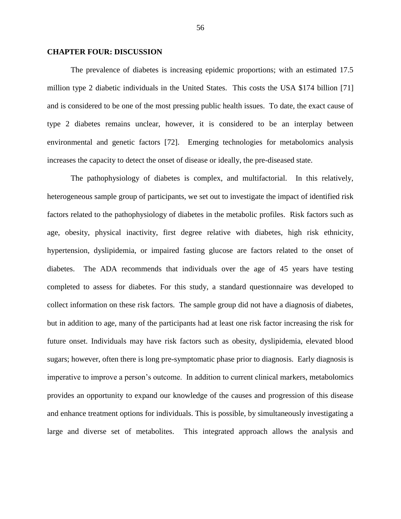#### **CHAPTER FOUR: DISCUSSION**

The prevalence of diabetes is increasing epidemic proportions; with an estimated 17.5 million type 2 diabetic individuals in the United States. This costs the USA \$174 billion [71] and is considered to be one of the most pressing public health issues. To date, the exact cause of type 2 diabetes remains unclear, however, it is considered to be an interplay between environmental and genetic factors [72]. Emerging technologies for metabolomics analysis increases the capacity to detect the onset of disease or ideally, the pre-diseased state.

The pathophysiology of diabetes is complex, and multifactorial. In this relatively, heterogeneous sample group of participants, we set out to investigate the impact of identified risk factors related to the pathophysiology of diabetes in the metabolic profiles. Risk factors such as age, obesity, physical inactivity, first degree relative with diabetes, high risk ethnicity, hypertension, dyslipidemia, or impaired fasting glucose are factors related to the onset of diabetes. The ADA recommends that individuals over the age of 45 years have testing completed to assess for diabetes. For this study, a standard questionnaire was developed to collect information on these risk factors. The sample group did not have a diagnosis of diabetes, but in addition to age, many of the participants had at least one risk factor increasing the risk for future onset. Individuals may have risk factors such as obesity, dyslipidemia, elevated blood sugars; however, often there is long pre-symptomatic phase prior to diagnosis. Early diagnosis is imperative to improve a person's outcome. In addition to current clinical markers, metabolomics provides an opportunity to expand our knowledge of the causes and progression of this disease and enhance treatment options for individuals. This is possible, by simultaneously investigating a large and diverse set of metabolites. This integrated approach allows the analysis and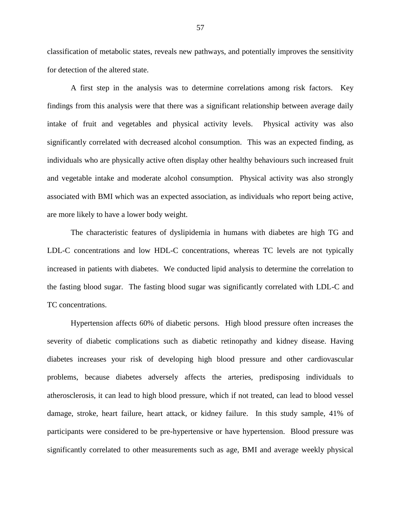classification of metabolic states, reveals new pathways, and potentially improves the sensitivity for detection of the altered state.

A first step in the analysis was to determine correlations among risk factors. Key findings from this analysis were that there was a significant relationship between average daily intake of fruit and vegetables and physical activity levels. Physical activity was also significantly correlated with decreased alcohol consumption. This was an expected finding, as individuals who are physically active often display other healthy behaviours such increased fruit and vegetable intake and moderate alcohol consumption. Physical activity was also strongly associated with BMI which was an expected association, as individuals who report being active, are more likely to have a lower body weight.

The characteristic features of dyslipidemia in humans with diabetes are high TG and LDL-C concentrations and low HDL-C concentrations, whereas TC levels are not typically increased in patients with diabetes. We conducted lipid analysis to determine the correlation to the fasting blood sugar. The fasting blood sugar was significantly correlated with LDL-C and TC concentrations.

Hypertension affects 60% of diabetic persons. High blood pressure often increases the severity of diabetic complications such as diabetic retinopathy and kidney disease. Having diabetes increases your risk of developing high blood pressure and other cardiovascular problems, because diabetes adversely affects the arteries, predisposing individuals to atherosclerosis, it can lead to high blood pressure, which if not treated, can lead to blood vessel damage, stroke, heart failure, heart attack, or kidney failure. In this study sample, 41% of participants were considered to be pre-hypertensive or have hypertension. Blood pressure was significantly correlated to other measurements such as age, BMI and average weekly physical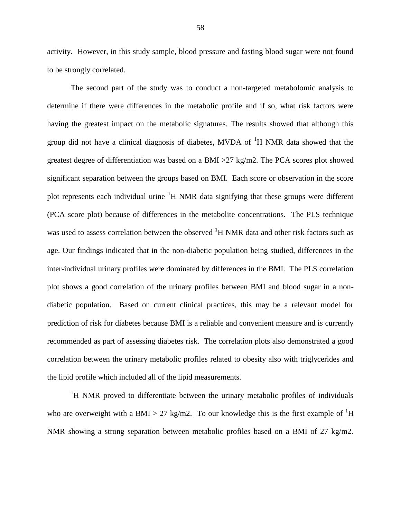activity. However, in this study sample, blood pressure and fasting blood sugar were not found to be strongly correlated.

The second part of the study was to conduct a non-targeted metabolomic analysis to determine if there were differences in the metabolic profile and if so, what risk factors were having the greatest impact on the metabolic signatures. The results showed that although this group did not have a clinical diagnosis of diabetes, MVDA of  ${}^{1}H$  NMR data showed that the greatest degree of differentiation was based on a BMI >27 kg/m2. The PCA scores plot showed significant separation between the groups based on BMI. Each score or observation in the score plot represents each individual urine  ${}^{1}H$  NMR data signifying that these groups were different (PCA score plot) because of differences in the metabolite concentrations. The PLS technique was used to assess correlation between the observed  ${}^{1}H$  NMR data and other risk factors such as age. Our findings indicated that in the non-diabetic population being studied, differences in the inter-individual urinary profiles were dominated by differences in the BMI. The PLS correlation plot shows a good correlation of the urinary profiles between BMI and blood sugar in a nondiabetic population. Based on current clinical practices, this may be a relevant model for prediction of risk for diabetes because BMI is a reliable and convenient measure and is currently recommended as part of assessing diabetes risk. The correlation plots also demonstrated a good correlation between the urinary metabolic profiles related to obesity also with triglycerides and the lipid profile which included all of the lipid measurements.

<sup>1</sup>H NMR proved to differentiate between the urinary metabolic profiles of individuals who are overweight with a BMI > 27 kg/m2. To our knowledge this is the first example of <sup>1</sup>H NMR showing a strong separation between metabolic profiles based on a BMI of 27 kg/m2.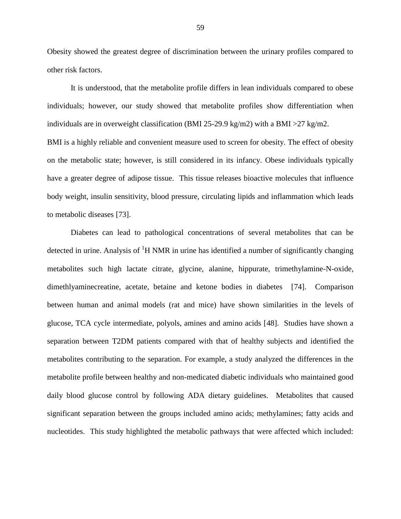Obesity showed the greatest degree of discrimination between the urinary profiles compared to other risk factors.

It is understood, that the metabolite profile differs in lean individuals compared to obese individuals; however, our study showed that metabolite profiles show differentiation when individuals are in overweight classification (BMI 25-29.9 kg/m2) with a BMI > 27 kg/m2. BMI is a highly reliable and convenient measure used to screen for obesity. The effect of obesity on the metabolic state; however, is still considered in its infancy. Obese individuals typically have a greater degree of adipose tissue. This tissue releases bioactive molecules that influence body weight, insulin sensitivity, blood pressure, circulating lipids and inflammation which leads to metabolic diseases [73].

Diabetes can lead to pathological concentrations of several metabolites that can be detected in urine. Analysis of  ${}^{1}H$  NMR in urine has identified a number of significantly changing metabolites such high lactate citrate, glycine, alanine, hippurate, trimethylamine-N-oxide, dimethlyaminecreatine, acetate, betaine and ketone bodies in diabetes [74]. Comparison between human and animal models (rat and mice) have shown similarities in the levels of glucose, TCA cycle intermediate, polyols, amines and amino acids [48]. Studies have shown a separation between T2DM patients compared with that of healthy subjects and identified the metabolites contributing to the separation. For example, a study analyzed the differences in the metabolite profile between healthy and non-medicated diabetic individuals who maintained good daily blood glucose control by following ADA dietary guidelines. Metabolites that caused significant separation between the groups included amino acids; methylamines; fatty acids and nucleotides. This study highlighted the metabolic pathways that were affected which included: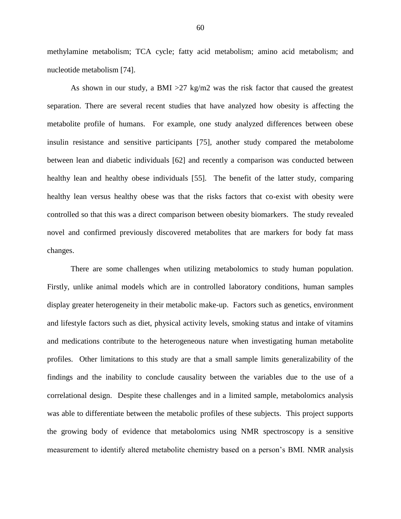methylamine metabolism; TCA cycle; fatty acid metabolism; amino acid metabolism; and nucleotide metabolism [74].

As shown in our study, a BMI  $>27$  kg/m2 was the risk factor that caused the greatest separation. There are several recent studies that have analyzed how obesity is affecting the metabolite profile of humans. For example, one study analyzed differences between obese insulin resistance and sensitive participants [75], another study compared the metabolome between lean and diabetic individuals [62] and recently a comparison was conducted between healthy lean and healthy obese individuals [55]. The benefit of the latter study, comparing healthy lean versus healthy obese was that the risks factors that co-exist with obesity were controlled so that this was a direct comparison between obesity biomarkers. The study revealed novel and confirmed previously discovered metabolites that are markers for body fat mass changes.

There are some challenges when utilizing metabolomics to study human population. Firstly, unlike animal models which are in controlled laboratory conditions, human samples display greater heterogeneity in their metabolic make-up. Factors such as genetics, environment and lifestyle factors such as diet, physical activity levels, smoking status and intake of vitamins and medications contribute to the heterogeneous nature when investigating human metabolite profiles. Other limitations to this study are that a small sample limits generalizability of the findings and the inability to conclude causality between the variables due to the use of a correlational design. Despite these challenges and in a limited sample, metabolomics analysis was able to differentiate between the metabolic profiles of these subjects. This project supports the growing body of evidence that metabolomics using NMR spectroscopy is a sensitive measurement to identify altered metabolite chemistry based on a person's BMI. NMR analysis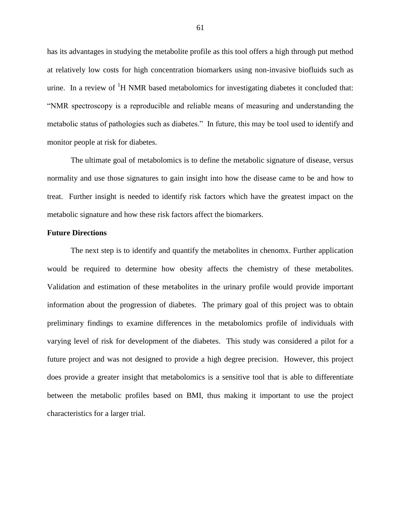has its advantages in studying the metabolite profile as this tool offers a high through put method at relatively low costs for high concentration biomarkers using non-invasive biofluids such as urine. In a review of  ${}^{1}H$  NMR based metabolomics for investigating diabetes it concluded that: "NMR spectroscopy is a reproducible and reliable means of measuring and understanding the metabolic status of pathologies such as diabetes." In future, this may be tool used to identify and monitor people at risk for diabetes.

The ultimate goal of metabolomics is to define the metabolic signature of disease, versus normality and use those signatures to gain insight into how the disease came to be and how to treat. Further insight is needed to identify risk factors which have the greatest impact on the metabolic signature and how these risk factors affect the biomarkers.

#### **Future Directions**

The next step is to identify and quantify the metabolites in chenomx. Further application would be required to determine how obesity affects the chemistry of these metabolites. Validation and estimation of these metabolites in the urinary profile would provide important information about the progression of diabetes. The primary goal of this project was to obtain preliminary findings to examine differences in the metabolomics profile of individuals with varying level of risk for development of the diabetes. This study was considered a pilot for a future project and was not designed to provide a high degree precision. However, this project does provide a greater insight that metabolomics is a sensitive tool that is able to differentiate between the metabolic profiles based on BMI, thus making it important to use the project characteristics for a larger trial.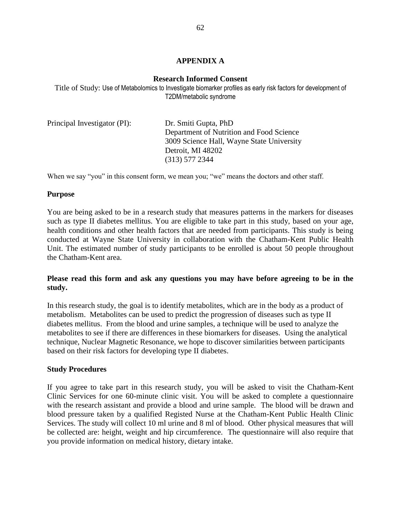# **APPENDIX A**

# **Research Informed Consent**

Title of Study: Use of Metabolomics to Investigate biomarker profiles as early risk factors for development of T2DM/metabolic syndrome

| Principal Investigator (PI): | Dr. Smiti Gupta, PhD                      |  |  |  |  |
|------------------------------|-------------------------------------------|--|--|--|--|
|                              | Department of Nutrition and Food Science  |  |  |  |  |
|                              | 3009 Science Hall, Wayne State University |  |  |  |  |
|                              | Detroit, MI 48202                         |  |  |  |  |
|                              | $(313)$ 577 2344                          |  |  |  |  |

When we say "you" in this consent form, we mean you; "we" means the doctors and other staff.

# **Purpose**

You are being asked to be in a research study that measures patterns in the markers for diseases such as type II diabetes mellitus. You are eligible to take part in this study, based on your age, health conditions and other health factors that are needed from participants. This study is being conducted at Wayne State University in collaboration with the Chatham-Kent Public Health Unit. The estimated number of study participants to be enrolled is about 50 people throughout the Chatham-Kent area.

# **Please read this form and ask any questions you may have before agreeing to be in the study.**

In this research study, the goal is to identify metabolites, which are in the body as a product of metabolism. Metabolites can be used to predict the progression of diseases such as type II diabetes mellitus. From the blood and urine samples, a technique will be used to analyze the metabolites to see if there are differences in these biomarkers for diseases. Using the analytical technique, Nuclear Magnetic Resonance, we hope to discover similarities between participants based on their risk factors for developing type II diabetes.

# **Study Procedures**

If you agree to take part in this research study, you will be asked to visit the Chatham-Kent Clinic Services for one 60-minute clinic visit. You will be asked to complete a questionnaire with the research assistant and provide a blood and urine sample. The blood will be drawn and blood pressure taken by a qualified Registed Nurse at the Chatham-Kent Public Health Clinic Services. The study will collect 10 ml urine and 8 ml of blood. Other physical measures that will be collected are: height, weight and hip circumference. The questionnaire will also require that you provide information on medical history, dietary intake.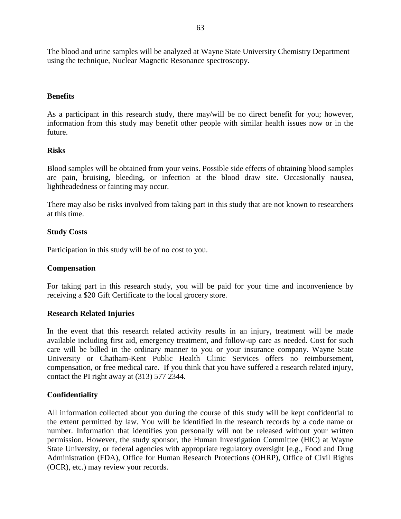The blood and urine samples will be analyzed at Wayne State University Chemistry Department using the technique, Nuclear Magnetic Resonance spectroscopy.

# **Benefits**

As a participant in this research study, there may/will be no direct benefit for you; however, information from this study may benefit other people with similar health issues now or in the future.

## **Risks**

Blood samples will be obtained from your veins. Possible side effects of obtaining blood samples are pain, bruising, bleeding, or infection at the blood draw site. Occasionally nausea, lightheadedness or fainting may occur.

There may also be risks involved from taking part in this study that are not known to researchers at this time.

## **Study Costs**

Participation in this study will be of no cost to you.

# **Compensation**

For taking part in this research study, you will be paid for your time and inconvenience by receiving a \$20 Gift Certificate to the local grocery store.

# **Research Related Injuries**

In the event that this research related activity results in an injury, treatment will be made available including first aid, emergency treatment, and follow-up care as needed. Cost for such care will be billed in the ordinary manner to you or your insurance company. Wayne State University or Chatham-Kent Public Health Clinic Services offers no reimbursement, compensation, or free medical care. If you think that you have suffered a research related injury, contact the PI right away at (313) 577 2344.

# **Confidentiality**

All information collected about you during the course of this study will be kept confidential to the extent permitted by law. You will be identified in the research records by a code name or number. Information that identifies you personally will not be released without your written permission. However, the study sponsor, the Human Investigation Committee (HIC) at Wayne State University, or federal agencies with appropriate regulatory oversight [e.g., Food and Drug Administration (FDA), Office for Human Research Protections (OHRP), Office of Civil Rights (OCR), etc.) may review your records.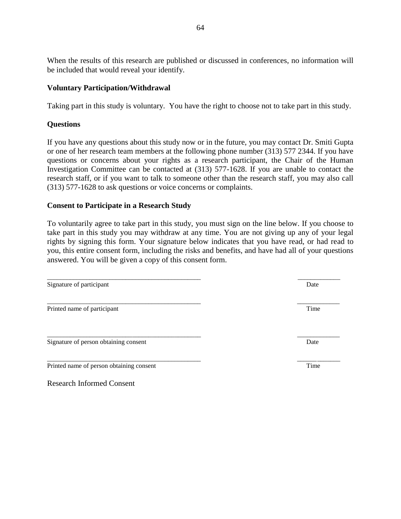When the results of this research are published or discussed in conferences, no information will be included that would reveal your identify.

# **Voluntary Participation/Withdrawal**

Taking part in this study is voluntary. You have the right to choose not to take part in this study.

# **Questions**

If you have any questions about this study now or in the future, you may contact Dr. Smiti Gupta or one of her research team members at the following phone number (313) 577 2344. If you have questions or concerns about your rights as a research participant, the Chair of the Human Investigation Committee can be contacted at (313) 577-1628. If you are unable to contact the research staff, or if you want to talk to someone other than the research staff, you may also call (313) 577-1628 to ask questions or voice concerns or complaints.

# **Consent to Participate in a Research Study**

To voluntarily agree to take part in this study, you must sign on the line below. If you choose to take part in this study you may withdraw at any time. You are not giving up any of your legal rights by signing this form. Your signature below indicates that you have read, or had read to you, this entire consent form, including the risks and benefits, and have had all of your questions answered. You will be given a copy of this consent form.

\_\_\_\_\_\_\_\_\_\_\_\_\_\_\_\_\_\_\_\_\_\_\_\_\_\_\_\_\_\_\_\_\_\_\_\_\_\_\_\_\_\_\_\_\_\_\_ \_\_\_\_\_\_\_\_\_\_\_\_\_

\_\_\_\_\_\_\_\_\_\_\_\_\_\_\_\_\_\_\_\_\_\_\_\_\_\_\_\_\_\_\_\_\_\_\_\_\_\_\_\_\_\_\_\_\_\_\_ \_\_\_\_\_\_\_\_\_\_\_\_\_ Signature of participant Date  $\Box$ 

| ______________<br>______________<br>_____________________ | ____________ |
|-----------------------------------------------------------|--------------|
| D <sub>r</sub>                                            | .<br>माए     |

Signature of person obtaining consent Date

Printed name of person obtaining consent Time

Research Informed Consent

\_\_\_\_\_\_\_\_\_\_\_\_\_\_\_\_\_\_\_\_\_\_\_\_\_\_\_\_\_\_\_\_\_\_\_\_\_\_\_\_\_\_\_\_\_\_\_ \_\_\_\_\_\_\_\_\_\_\_\_\_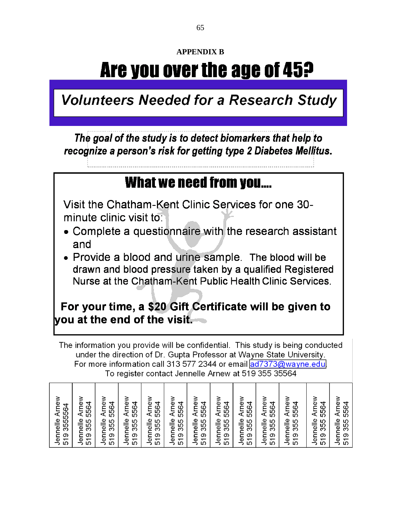# **APPENDIX B**

# Are you over the age of 45?

**Volunteers Needed for a Research Study** 

The goal of the study is to detect biomarkers that help to recognize a person's risk for getting type 2 Diabetes Mellitus.

# What we need from you....

Visit the Chatham-Kent Clinic Services for one 30minute clinic visit to:

- Complete a questionnaire with the research assistant and
- Provide a blood and urine sample. The blood will be drawn and blood pressure taken by a qualified Registered Nurse at the Chatham-Kent Public Health Clinic Services.

# For your time, a \$20 Gift Certificate will be given to you at the end of the visit.

The information you provide will be confidential. This study is being conducted under the direction of Dr. Gupta Professor at Wayne State University. For more information call 313 577 2344 or email ad7373@wayne.edul To register contact Jennelle Arnew at 519 355 35564

| Arnev<br>3555564<br>Jennelle | Arne<br>₹<br>556<br>helle<br>355 | Arney<br>5564<br>Jennelle<br>355 | 5564<br>Arne<br>Jennelle<br>355 | Arney<br>5564<br>elle<br>355 | Arnew<br>5564<br>Jennelle<br>355 | Arne<br>5564<br>Jennelle<br>355 | ≥<br>Arney<br>5564<br>Jennelle<br>355 | 5564<br>Arney<br>Jennelle<br>355 | Arney<br>↴<br>556<br>Jennelle<br>355<br>$\frac{6}{1}$ | Arney<br>5564<br>Jennelle<br>355<br>$\frac{6}{1}$ | Arney<br>₹<br>55G<br>Jennelle<br>355 | Arney<br>₹<br>556<br>Jennelle<br>355<br>$\frac{6}{1}$ |
|------------------------------|----------------------------------|----------------------------------|---------------------------------|------------------------------|----------------------------------|---------------------------------|---------------------------------------|----------------------------------|-------------------------------------------------------|---------------------------------------------------|--------------------------------------|-------------------------------------------------------|
| 519                          | ang<br>519                       | 519                              | 519                             | ar<br>ول<br>519              | 519                              | 519                             | 519                                   | 519                              | ഥ                                                     | ഗ                                                 | 519                                  | ഗ                                                     |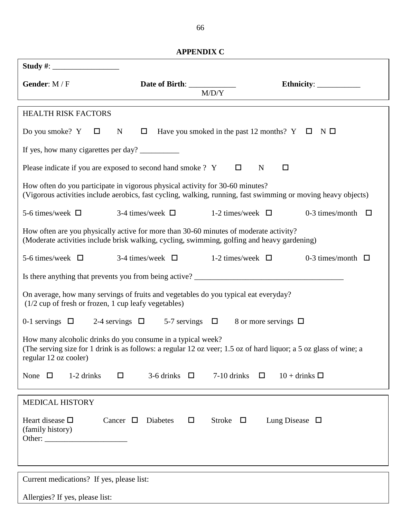| <b>APPENDIX C</b> |  |
|-------------------|--|
|                   |  |

| Gender: M / F                                                                                                                                                                                             | Date of Birth: _____________<br>M/D/Y                         |                                              |  |  |  |  |  |
|-----------------------------------------------------------------------------------------------------------------------------------------------------------------------------------------------------------|---------------------------------------------------------------|----------------------------------------------|--|--|--|--|--|
|                                                                                                                                                                                                           |                                                               |                                              |  |  |  |  |  |
| <b>HEALTH RISK FACTORS</b>                                                                                                                                                                                |                                                               |                                              |  |  |  |  |  |
| Do you smoke? $Y \Box$ N                                                                                                                                                                                  | $\Box$ Have you smoked in the past 12 months? $Y \Box N \Box$ |                                              |  |  |  |  |  |
| If yes, how many cigarettes per day?                                                                                                                                                                      |                                                               |                                              |  |  |  |  |  |
| Please indicate if you are exposed to second hand smoke ? Y                                                                                                                                               | $\Box$<br>$\mathbf N$                                         | □                                            |  |  |  |  |  |
| How often do you participate in vigorous physical activity for 30-60 minutes?<br>(Vigorous activities include aerobics, fast cycling, walking, running, fast swimming or moving heavy objects)            |                                                               |                                              |  |  |  |  |  |
| 5-6 times/week $\Box$<br>3-4 times/week $\Box$                                                                                                                                                            | 1-2 times/week $\Box$                                         | 0-3 times/month $\square$                    |  |  |  |  |  |
| How often are you physically active for more than 30-60 minutes of moderate activity?<br>(Moderate activities include brisk walking, cycling, swimming, golfing and heavy gardening)                      |                                                               |                                              |  |  |  |  |  |
| 3-4 times/week $\Box$<br>5-6 times/week $\Box$                                                                                                                                                            |                                                               | 1-2 times/week $\Box$ 0-3 times/month $\Box$ |  |  |  |  |  |
|                                                                                                                                                                                                           |                                                               |                                              |  |  |  |  |  |
| On average, how many servings of fruits and vegetables do you typical eat everyday?<br>$(1/2$ cup of fresh or frozen, 1 cup leafy vegetables)                                                             |                                                               |                                              |  |  |  |  |  |
| 0-1 servings $\Box$ 2-4 servings $\Box$ 5-7 servings $\Box$ 8 or more servings $\Box$                                                                                                                     |                                                               |                                              |  |  |  |  |  |
| How many alcoholic drinks do you consume in a typical week?<br>(The serving size for 1 drink is as follows: a regular 12 oz veer; 1.5 oz of hard liquor; a 5 oz glass of wine; a<br>regular 12 oz cooler) |                                                               |                                              |  |  |  |  |  |
| 1-2 drinks<br>None $\Box$<br>□                                                                                                                                                                            | 3-6 drinks $\Box$<br>7-10 drinks<br>$\Box$                    | $10 +$ drinks $\Box$                         |  |  |  |  |  |
| <b>MEDICAL HISTORY</b>                                                                                                                                                                                    |                                                               |                                              |  |  |  |  |  |
| Heart disease $\square$<br>Cancer $\Box$<br><b>Diabetes</b><br>(family history)                                                                                                                           | Stroke $\square$<br>$\Box$                                    | Lung Disease $\Box$                          |  |  |  |  |  |
| Current medications? If yes, please list:                                                                                                                                                                 |                                                               |                                              |  |  |  |  |  |
| Allergies? If yes, please list:                                                                                                                                                                           |                                                               |                                              |  |  |  |  |  |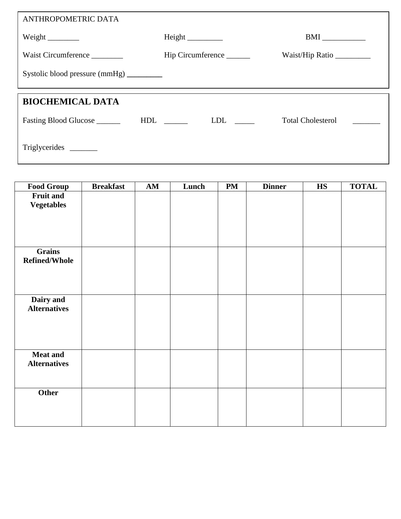| ANTHROPOMETRIC DATA                                                                             |                                                                                                                       |                          |
|-------------------------------------------------------------------------------------------------|-----------------------------------------------------------------------------------------------------------------------|--------------------------|
| Weight $\frac{1}{\sqrt{1-\frac{1}{2}}\sqrt{1-\frac{1}{2}}\left(\frac{1}{2}-\frac{1}{2}\right)}$ |                                                                                                                       | BMI                      |
| Waist Circumference                                                                             | Hip Circumference                                                                                                     | Waist/Hip Ratio          |
| Systolic blood pressure (mmHg) _________                                                        |                                                                                                                       |                          |
|                                                                                                 |                                                                                                                       |                          |
| <b>BIOCHEMICAL DATA</b><br>Fasting Blood Glucose _______                                        | HDL<br>LDL and the set of the set of the set of the set of the set of the set of the set of the set of the set of the | <b>Total Cholesterol</b> |
|                                                                                                 |                                                                                                                       |                          |

| <b>Food Group</b>    | <b>Breakfast</b> | AM | Lunch | <b>PM</b> | <b>Dinner</b> | $\mathbf{H}\mathbf{S}$ | <b>TOTAL</b> |
|----------------------|------------------|----|-------|-----------|---------------|------------------------|--------------|
| <b>Fruit and</b>     |                  |    |       |           |               |                        |              |
| <b>Vegetables</b>    |                  |    |       |           |               |                        |              |
|                      |                  |    |       |           |               |                        |              |
|                      |                  |    |       |           |               |                        |              |
|                      |                  |    |       |           |               |                        |              |
| Grains               |                  |    |       |           |               |                        |              |
| <b>Refined/Whole</b> |                  |    |       |           |               |                        |              |
|                      |                  |    |       |           |               |                        |              |
|                      |                  |    |       |           |               |                        |              |
|                      |                  |    |       |           |               |                        |              |
| Dairy and            |                  |    |       |           |               |                        |              |
| <b>Alternatives</b>  |                  |    |       |           |               |                        |              |
|                      |                  |    |       |           |               |                        |              |
|                      |                  |    |       |           |               |                        |              |
|                      |                  |    |       |           |               |                        |              |
| <b>Meat and</b>      |                  |    |       |           |               |                        |              |
| <b>Alternatives</b>  |                  |    |       |           |               |                        |              |
|                      |                  |    |       |           |               |                        |              |
|                      |                  |    |       |           |               |                        |              |
| Other                |                  |    |       |           |               |                        |              |
|                      |                  |    |       |           |               |                        |              |
|                      |                  |    |       |           |               |                        |              |
|                      |                  |    |       |           |               |                        |              |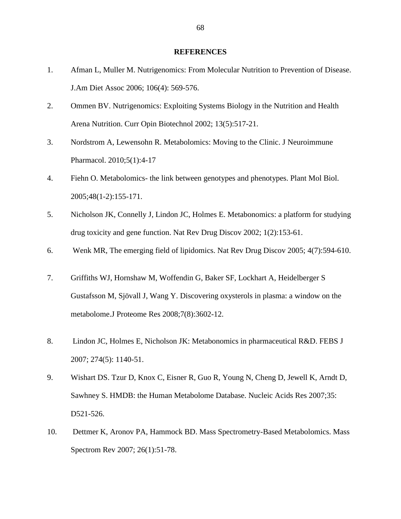#### **REFERENCES**

- 1. Afman L, Muller M. Nutrigenomics: From Molecular Nutrition to Prevention of Disease. J.Am Diet Assoc 2006; 106(4): 569-576.
- 2. Ommen BV. Nutrigenomics: Exploiting Systems Biology in the Nutrition and Health Arena Nutrition. Curr Opin Biotechnol 2002; 13(5):517-21.
- 3. Nordstrom A, Lewensohn R. Metabolomics: Moving to the Clinic. J Neuroimmune Pharmacol. 2010;5(1):4-17
- 4. Fiehn O. Metabolomics- the link between genotypes and phenotypes. Plant Mol Biol. 2005;48(1-2):155-171.
- 5. Nicholson JK, Connelly J, Lindon JC, Holmes E. Metabonomics: a platform for studying drug toxicity and gene function. Nat Rev Drug Discov 2002; 1(2):153-61.
- 6. Wenk MR, The emerging field of lipidomics. Nat Rev Drug Discov 2005; 4(7):594-610.
- 7. Griffiths WJ, Hornshaw M, Woffendin G, Baker SF, Lockhart A, Heidelberger S Gustafsson M, Sjövall J, Wang Y. Discovering oxysterols in plasma: a window on the metabolome.J Proteome Res 2008;7(8):3602-12.
- 8. Lindon JC, Holmes E, Nicholson JK: Metabonomics in pharmaceutical R&D. FEBS J 2007; 274(5): 1140-51.
- 9. Wishart DS. Tzur D, Knox C, Eisner R, Guo R, Young N, Cheng D, Jewell K, Arndt D, Sawhney S. HMDB: the Human Metabolome Database. Nucleic Acids Res 2007;35: D521-526.
- 10. Dettmer K, Aronov PA, Hammock BD. Mass Spectrometry-Based Metabolomics. Mass Spectrom Rev 2007; 26(1):51-78.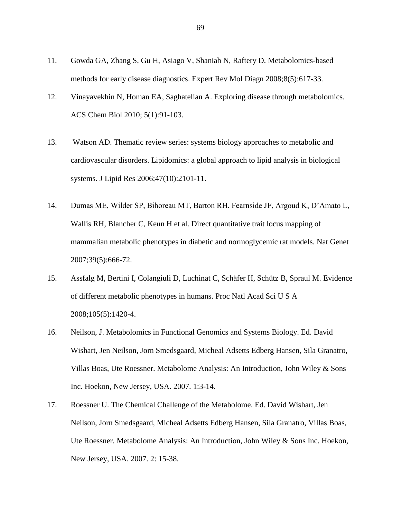- 11. Gowda GA, Zhang S, Gu H, Asiago V, Shaniah N, Raftery D. Metabolomics-based methods for early disease diagnostics. Expert Rev Mol Diagn 2008;8(5):617-33.
- 12. Vinayavekhin N, Homan EA, Saghatelian A. Exploring disease through metabolomics. [ACS Chem Biol](http://www.ncbi.nlm.nih.gov/pubmed?term=Vinayavekhin%20N%2C%20Homan%20EA%2C%20Saghatelian%20A%20(2009)%20Exploring%20Disease%20Through%20Metabolomics.%20ACS%20Chem%20Biol) 2010; 5(1):91-103.
- 13. Watson AD. Thematic review series: systems biology approaches to metabolic and cardiovascular disorders. Lipidomics: a global approach to lipid analysis in biological systems. J Lipid Res 2006;47(10):2101-11.
- 14. Dumas ME, Wilder SP, Bihoreau MT, Barton RH, Fearnside JF, Argoud K, D'Amato L, Wallis RH, Blancher C, Keun H et al. Direct quantitative trait locus mapping of mammalian metabolic phenotypes in diabetic and normoglycemic rat models. Nat Genet 2007;39(5):666-72.
- 15. Assfalg M, Bertini I, Colangiuli D, Luchinat C, Schäfer H, Schütz B, Spraul M. Evidence of different metabolic phenotypes in humans. Proc Natl Acad Sci U S A 2008;105(5):1420-4.
- 16. Neilson, J. Metabolomics in Functional Genomics and Systems Biology. Ed. David Wishart, Jen Neilson, Jorn Smedsgaard, Micheal Adsetts Edberg Hansen, Sila Granatro, Villas Boas, Ute Roessner. Metabolome Analysis: An Introduction, John Wiley & Sons Inc. Hoekon, New Jersey, USA. 2007. 1:3-14.
- 17. Roessner U. The Chemical Challenge of the Metabolome. Ed. David Wishart, Jen Neilson, Jorn Smedsgaard, Micheal Adsetts Edberg Hansen, Sila Granatro, Villas Boas, Ute Roessner. Metabolome Analysis: An Introduction, John Wiley & Sons Inc. Hoekon, New Jersey, USA. 2007. 2: 15-38.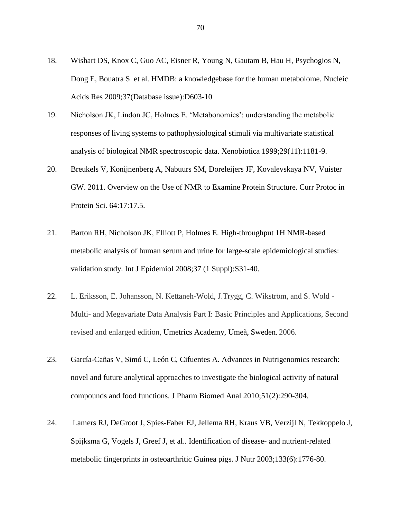- 18. Wishart DS, Knox C, Guo AC, Eisner R, Young N, Gautam B, Hau H, Psychogios N, Dong E, Bouatra S et al. HMDB: a knowledgebase for the human metabolome. Nucleic Acids Res 2009;37(Database issue):D603-10
- 19. Nicholson JK, Lindon JC, Holmes E. 'Metabonomics': understanding the metabolic responses of living systems to pathophysiological stimuli via multivariate statistical analysis of biological NMR spectroscopic data. Xenobiotica 1999;29(11):1181-9.
- 20. Breukels V, Konijnenberg A, Nabuurs SM, Doreleijers JF, Kovalevskaya NV, Vuister GW. 2011. Overview on the Use of NMR to Examine Protein Structure. Curr Protoc in Protein Sci. 64:17:17.5.
- 21. Barton RH, Nicholson JK, Elliott P, Holmes E. High-throughput 1H NMR-based metabolic analysis of human serum and urine for large-scale epidemiological studies: validation study. Int J Epidemiol 2008;37 (1 Suppl):S31-40.
- 22. L. Eriksson, E. Johansson, N. Kettaneh-Wold, J.Trygg, C. Wikström, and S. Wold Multi- and Megavariate Data Analysis Part I: Basic Principles and Applications, Second revised and enlarged edition, Umetrics Academy, Umeå, Sweden. 2006.
- 23. García-Cañas V, Simó C, León C, Cifuentes A. Advances in Nutrigenomics research: novel and future analytical approaches to investigate the biological activity of natural compounds and food functions. J Pharm Biomed Anal 2010;51(2):290-304.
- 24. Lamers RJ, DeGroot J, Spies-Faber EJ, Jellema RH, Kraus VB, Verzijl N, Tekkoppelo J, Spijksma G, Vogels J, Greef J, et al.. Identification of disease- and nutrient-related metabolic fingerprints in osteoarthritic Guinea pigs. J Nutr 2003;133(6):1776-80.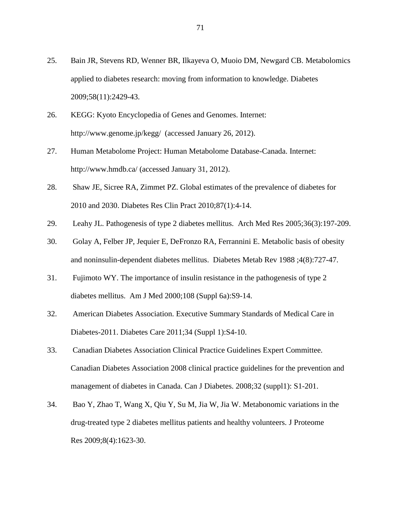- 25. Bain JR, Stevens RD, Wenner BR, Ilkayeva O, Muoio DM, Newgard CB. Metabolomics applied to diabetes research: moving from information to knowledge. Diabetes 2009;58(11):2429-43.
- 26. KEGG: Kyoto Encyclopedia of Genes and Genomes. Internet: http://www.genome.jp/kegg/ (accessed January 26, 2012).
- 27. Human Metabolome Project: Human Metabolome Database-Canada. Internet: http://www.hmdb.ca/ (accessed January 31, 2012).
- 28. Shaw JE, Sicree RA, Zimmet PZ. Global estimates of the prevalence of diabetes for 2010 and 2030. Diabetes Res Clin Pract 2010;87(1):4-14.
- 29. Leahy JL. Pathogenesis of type 2 diabetes mellitus. Arch Med Res 2005;36(3):197-209.
- 30. Golay A, Felber JP, Jequier E, DeFronzo RA, Ferrannini E. Metabolic basis of obesity and noninsulin-dependent diabetes mellitus. Diabetes Metab Rev 1988 ;4(8):727-47.
- 31. Fujimoto WY. The importance of insulin resistance in the pathogenesis of type 2 diabetes mellitus. Am J Med 2000;108 (Suppl 6a):S9-14.
- 32. American Diabetes Association. Executive Summary Standards of Medical Care in Diabetes-2011. Diabetes Care 2011;34 (Suppl 1):S4-10.
- 33. Canadian Diabetes Association Clinical Practice Guidelines Expert Committee. Canadian Diabetes Association 2008 clinical practice guidelines for the prevention and management of diabetes in Canada. Can J Diabetes. 2008;32 (suppl1): S1-201.
- 34. Bao Y, Zhao T, Wang X, Qiu Y, Su M, Jia W, Jia W. Metabonomic variations in the drug-treated type 2 diabetes mellitus patients and healthy volunteers. J Proteome Res 2009;8(4):1623-30.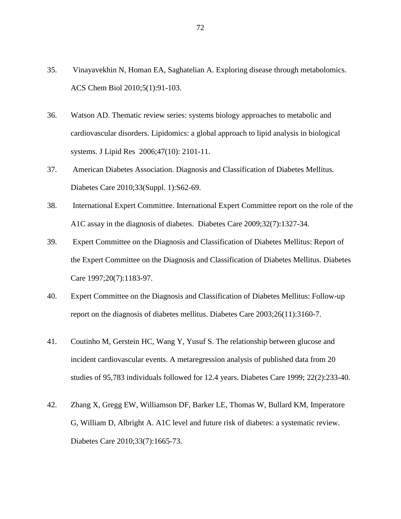- 35. Vinayavekhin N, Homan EA, Saghatelian A. Exploring disease through metabolomics. ACS Chem Biol 2010;5(1):91-103.
- 36. Watson AD. Thematic review series: systems biology approaches to metabolic and cardiovascular disorders. Lipidomics: a global approach to lipid analysis in biological systems. J Lipid Res 2006;47(10): 2101-11.
- 37. American Diabetes Association. Diagnosis and Classification of Diabetes Mellitus. Diabetes Care 2010;33(Suppl. 1):S62-69.
- 38. International Expert Committee. International Expert Committee report on the role of the A1C assay in the diagnosis of diabetes. Diabetes Care 2009;32(7):1327-34.
- 39. Expert Committee on the Diagnosis and Classification of Diabetes Mellitus: Report of the Expert Committee on the Diagnosis and Classification of Diabetes Mellitus. Diabetes Care 1997;20(7):1183-97.
- 40. Expert Committee on the Diagnosis and Classification of Diabetes Mellitus: Follow-up report on the diagnosis of diabetes mellitus. Diabetes Care 2003;26(11):3160-7.
- 41. Coutinho M, Gerstein HC, Wang Y, Yusuf S. The relationship between glucose and incident cardiovascular events. A metaregression analysis of published data from 20 studies of 95,783 individuals followed for 12.4 years. Diabetes Care 1999; 22(2):233-40.
- 42. Zhang X, Gregg EW, Williamson DF, Barker LE, Thomas W, Bullard KM, Imperatore G, William D, Albright A. A1C level and future risk of diabetes: a systematic review. Diabetes Care 2010;33(7):1665-73.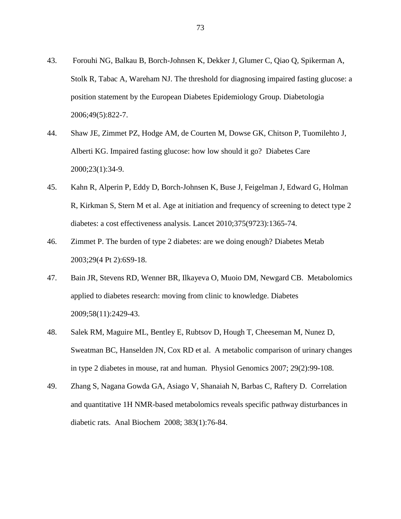- 43. Forouhi NG, Balkau B, Borch-Johnsen K, Dekker J, Glumer C, Qiao Q, Spikerman A, Stolk R, Tabac A, Wareham NJ. The threshold for diagnosing impaired fasting glucose: a position statement by the European Diabetes Epidemiology Group. Diabetologia 2006;49(5):822-7.
- 44. Shaw JE, Zimmet PZ, Hodge AM, de Courten M, Dowse GK, Chitson P, Tuomilehto J, Alberti KG. Impaired fasting glucose: how low should it go? Diabetes Care 2000;23(1):34-9.
- 45. Kahn R, Alperin P, Eddy D, Borch-Johnsen K, Buse J, Feigelman J, Edward G, Holman R, Kirkman S, Stern M et al. Age at initiation and frequency of screening to detect type 2 diabetes: a cost effectiveness analysis. Lancet 2010;375(9723):1365-74.
- 46. Zimmet P. The burden of type 2 diabetes: are we doing enough? Diabetes Metab 2003;29(4 Pt 2):6S9-18.
- 47. Bain JR, Stevens RD, Wenner BR, Ilkayeva O, Muoio DM, Newgard CB. Metabolomics applied to diabetes research: moving from clinic to knowledge. Diabetes 2009;58(11):2429-43.
- 48. Salek RM, Maguire ML, Bentley E, Rubtsov D, Hough T, Cheeseman M, Nunez D, Sweatman BC, Hanselden JN, Cox RD et al. A metabolic comparison of urinary changes in type 2 diabetes in mouse, rat and human. Physiol Genomics 2007; 29(2):99-108.
- 49. Zhang S, Nagana Gowda GA, Asiago V, Shanaiah N, Barbas C, Raftery D. Correlation and quantitative 1H NMR-based metabolomics reveals specific pathway disturbances in diabetic rats. Anal Biochem 2008; 383(1):76-84.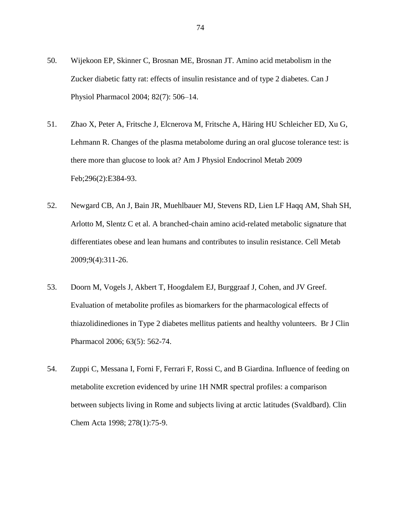- 50. Wijekoon EP, Skinner C, Brosnan ME, Brosnan JT. Amino acid metabolism in the Zucker diabetic fatty rat: effects of insulin resistance and of type 2 diabetes. Can J Physiol Pharmacol 2004; 82(7): 506–14.
- 51. Zhao X, Peter A, Fritsche J, Elcnerova M, Fritsche A, Häring HU Schleicher ED, Xu G, Lehmann R. Changes of the plasma metabolome during an oral glucose tolerance test: is there more than glucose to look at? Am J Physiol Endocrinol Metab 2009 Feb;296(2):E384-93.
- 52. Newgard CB, An J, Bain JR, Muehlbauer MJ, Stevens RD, Lien LF Haqq AM, Shah SH, Arlotto M, Slentz C et al. A branched-chain amino acid-related metabolic signature that differentiates obese and lean humans and contributes to insulin resistance. Cell Metab 2009;9(4):311-26.
- 53. Doorn M, Vogels J, Akbert T, Hoogdalem EJ, Burggraaf J, Cohen, and JV Greef. Evaluation of metabolite profiles as biomarkers for the pharmacological effects of thiazolidinediones in Type 2 diabetes mellitus patients and healthy volunteers. Br J Clin Pharmacol 2006; 63(5): 562-74.
- 54. Zuppi C, Messana I, Forni F, Ferrari F, Rossi C, and B Giardina. Influence of feeding on metabolite excretion evidenced by urine 1H NMR spectral profiles: a comparison between subjects living in Rome and subjects living at arctic latitudes (Svaldbard). Clin Chem Acta 1998; 278(1):75-9.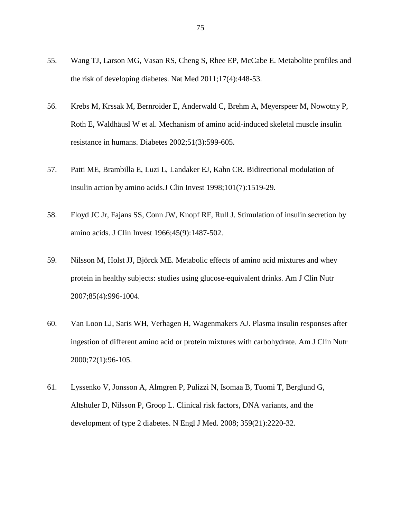- 55. Wang TJ, Larson MG, Vasan RS, Cheng S, Rhee EP, McCabe E. Metabolite profiles and the risk of developing diabetes. Nat Med 2011;17(4):448-53.
- 56. Krebs M, Krssak M, Bernroider E, Anderwald C, Brehm A, Meyerspeer M, Nowotny P, Roth E, Waldhäusl W et al. Mechanism of amino acid-induced skeletal muscle insulin resistance in humans. Diabetes 2002;51(3):599-605.
- 57. Patti ME, Brambilla E, Luzi L, Landaker EJ, Kahn CR. Bidirectional modulation of insulin action by amino acids.J Clin Invest 1998;101(7):1519-29.
- 58. Floyd JC Jr, Fajans SS, Conn JW, Knopf RF, Rull J. Stimulation of insulin secretion by amino acids. J Clin Invest 1966;45(9):1487-502.
- 59. Nilsson M, Holst JJ, Björck ME. Metabolic effects of amino acid mixtures and whey protein in healthy subjects: studies using glucose-equivalent drinks. Am J Clin Nutr 2007;85(4):996-1004.
- 60. Van Loon LJ, Saris WH, Verhagen H, Wagenmakers AJ. Plasma insulin responses after ingestion of different amino acid or protein mixtures with carbohydrate. Am J Clin Nutr 2000;72(1):96-105.
- 61. Lyssenko V, Jonsson A, Almgren P, Pulizzi N, Isomaa B, Tuomi T, Berglund G, Altshuler D, Nilsson P, Groop L. Clinical risk factors, DNA variants, and the development of type 2 diabetes. N Engl J Med. 2008; 359(21):2220-32.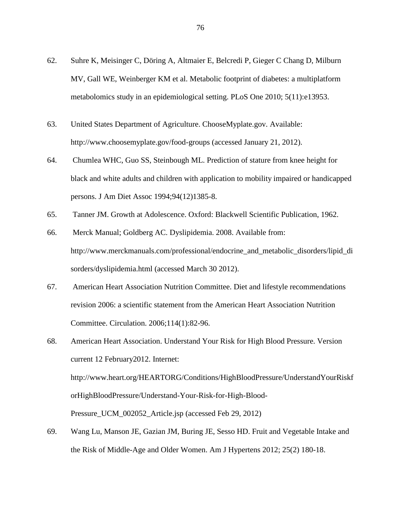- 62. Suhre K, Meisinger C, Döring A, Altmaier E, Belcredi P, Gieger C Chang D, Milburn MV, Gall WE, Weinberger KM et al. Metabolic footprint of diabetes: a multiplatform metabolomics study in an epidemiological setting. PLoS One 2010; 5(11):e13953.
- 63. United States Department of Agriculture. ChooseMyplate.gov. Available: http://www.choosemyplate.gov/food-groups (accessed January 21, 2012).
- 64. Chumlea WHC, Guo SS, Steinbough ML. Prediction of stature from knee height for black and white adults and children with application to mobility impaired or handicapped persons. J Am Diet Assoc 1994;94(12)1385-8.
- 65. Tanner JM. Growth at Adolescence. Oxford: Blackwell Scientific Publication, 1962.
- 66. Merck Manual; Goldberg AC. Dyslipidemia. 2008. Available from: http://www.merckmanuals.com/professional/endocrine\_and\_metabolic\_disorders/lipid\_di sorders/dyslipidemia.html (accessed March 30 2012).
- 67. American Heart Association Nutrition Committee. Diet and lifestyle recommendations revision 2006: a scientific statement from the American Heart Association Nutrition Committee. Circulation. 2006;114(1):82-96.
- 68. American Heart Association. Understand Your Risk for High Blood Pressure. Version current 12 February2012. Internet: http://www.heart.org/HEARTORG/Conditions/HighBloodPressure/UnderstandYourRiskf orHighBloodPressure/Understand-Your-Risk-for-High-Blood-Pressure\_UCM\_002052\_Article.jsp (accessed Feb 29, 2012)
- 69. Wang Lu, Manson JE, Gazian JM, Buring JE, Sesso HD. Fruit and Vegetable Intake and the Risk of Middle-Age and Older Women. Am J Hypertens 2012; 25(2) 180-18.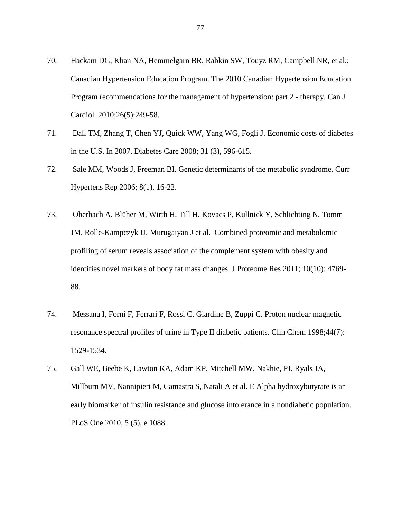- 70. Hackam DG, Khan NA, Hemmelgarn BR, Rabkin SW, Touyz RM, Campbell NR, et al.; Canadian Hypertension Education Program. The 2010 Canadian Hypertension Education Program recommendations for the management of hypertension: part 2 - therapy. Can J Cardiol. 2010;26(5):249-58.
- 71. Dall TM, Zhang T, Chen YJ, Quick WW, Yang WG, Fogli J. Economic costs of diabetes in the U.S. In 2007. Diabetes Care 2008; 31 (3), 596-615.
- 72. Sale MM, Woods J, Freeman BI. Genetic determinants of the metabolic syndrome. Curr Hypertens Rep 2006; 8(1), 16-22.
- 73. Oberbach A, Blüher M, Wirth H, Till H, Kovacs P, Kullnick Y, Schlichting N, Tomm JM, Rolle-Kampczyk U, Murugaiyan J et al. Combined proteomic and metabolomic profiling of serum reveals association of the complement system with obesity and identifies novel markers of body fat mass changes. J Proteome Res 2011; 10(10): 4769- 88.
- 74. Messana I, Forni F, Ferrari F, Rossi C, Giardine B, Zuppi C. Proton nuclear magnetic resonance spectral profiles of urine in Type II diabetic patients. Clin Chem 1998;44(7): 1529-1534.
- 75. Gall WE, Beebe K, Lawton KA, Adam KP, Mitchell MW, Nakhie, PJ, Ryals JA, Millburn MV, Nannipieri M, Camastra S, Natali A et al. E Alpha hydroxybutyrate is an early biomarker of insulin resistance and glucose intolerance in a nondiabetic population. PLoS One 2010, 5 (5), e 1088.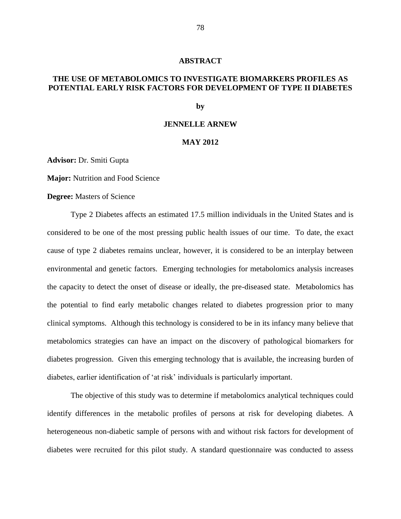### **ABSTRACT**

# **THE USE OF METABOLOMICS TO INVESTIGATE BIOMARKERS PROFILES AS POTENTIAL EARLY RISK FACTORS FOR DEVELOPMENT OF TYPE II DIABETES**

**by**

### **JENNELLE ARNEW**

## **MAY 2012**

**Advisor:** Dr. Smiti Gupta

**Major:** Nutrition and Food Science

**Degree:** Masters of Science

Type 2 Diabetes affects an estimated 17.5 million individuals in the United States and is considered to be one of the most pressing public health issues of our time. To date, the exact cause of type 2 diabetes remains unclear, however, it is considered to be an interplay between environmental and genetic factors. Emerging technologies for metabolomics analysis increases the capacity to detect the onset of disease or ideally, the pre-diseased state. Metabolomics has the potential to find early metabolic changes related to diabetes progression prior to many clinical symptoms. Although this technology is considered to be in its infancy many believe that metabolomics strategies can have an impact on the discovery of pathological biomarkers for diabetes progression. Given this emerging technology that is available, the increasing burden of diabetes, earlier identification of 'at risk' individuals is particularly important.

The objective of this study was to determine if metabolomics analytical techniques could identify differences in the metabolic profiles of persons at risk for developing diabetes. A heterogeneous non-diabetic sample of persons with and without risk factors for development of diabetes were recruited for this pilot study. A standard questionnaire was conducted to assess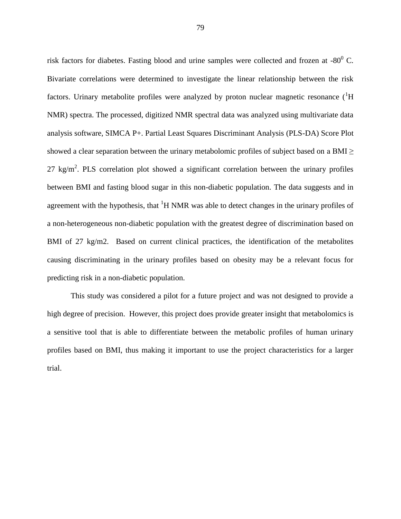risk factors for diabetes. Fasting blood and urine samples were collected and frozen at -80 $^{\circ}$  C. Bivariate correlations were determined to investigate the linear relationship between the risk factors. Urinary metabolite profiles were analyzed by proton nuclear magnetic resonance  $({}^{1}H)$ NMR) spectra. The processed, digitized NMR spectral data was analyzed using multivariate data analysis software, SIMCA P+. Partial Least Squares Discriminant Analysis (PLS-DA) Score Plot showed a clear separation between the urinary metabolomic profiles of subject based on a BMI $\geq$  $27 \text{ kg/m}^2$ . PLS correlation plot showed a significant correlation between the urinary profiles between BMI and fasting blood sugar in this non-diabetic population. The data suggests and in agreement with the hypothesis, that  ${}^{1}H$  NMR was able to detect changes in the urinary profiles of a non-heterogeneous non-diabetic population with the greatest degree of discrimination based on BMI of 27 kg/m2. Based on current clinical practices, the identification of the metabolites causing discriminating in the urinary profiles based on obesity may be a relevant focus for predicting risk in a non-diabetic population.

This study was considered a pilot for a future project and was not designed to provide a high degree of precision. However, this project does provide greater insight that metabolomics is a sensitive tool that is able to differentiate between the metabolic profiles of human urinary profiles based on BMI, thus making it important to use the project characteristics for a larger trial.